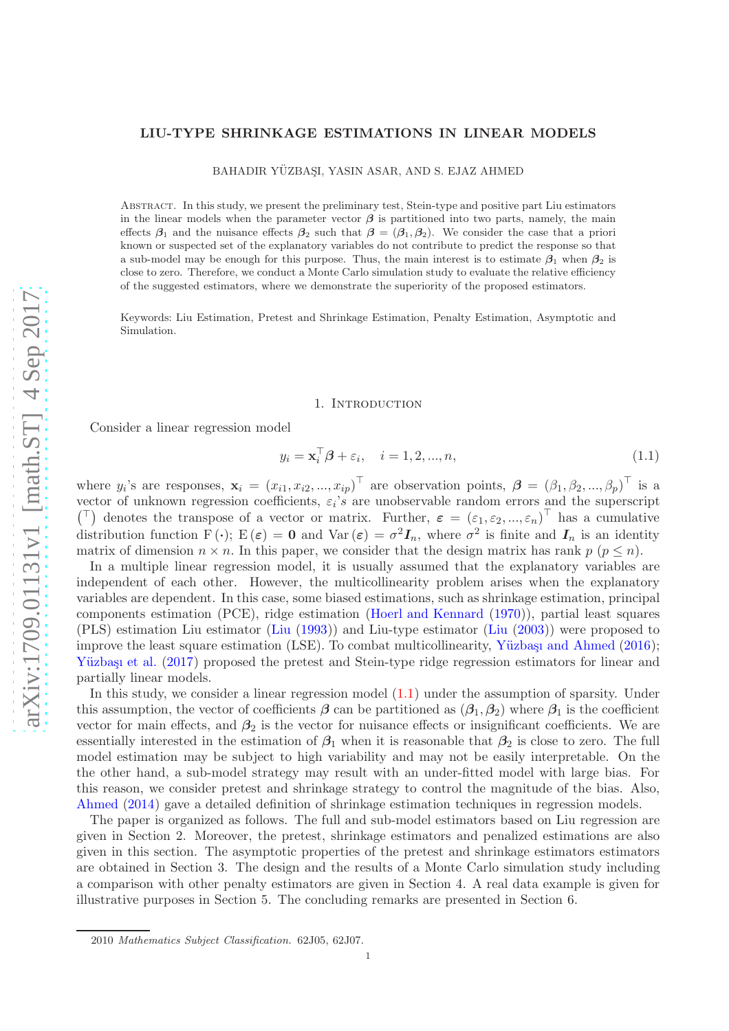### LIU-TYPE SHRINKAGE ESTIMATIONS IN LINEAR MODELS

BAHADIR YÜZBASI, YASIN ASAR, AND S. EJAZ AHMED

Abstract. In this study, we present the preliminary test, Stein-type and positive part Liu estimators in the linear models when the parameter vector  $\beta$  is partitioned into two parts, namely, the main effects  $\beta_1$  and the nuisance effects  $\beta_2$  such that  $\beta = (\beta_1, \beta_2)$ . We consider the case that a priori known or suspected set of the explanatory variables do not contribute to predict the response so that a sub-model may be enough for this purpose. Thus, the main interest is to estimate  $\beta_1$  when  $\beta_2$  is close to zero. Therefore, we conduct a Monte Carlo simulation study to evaluate the relative efficiency of the suggested estimators, where we demonstrate the superiority of the proposed estimators.

Keywords: Liu Estimation, Pretest and Shrinkage Estimation, Penalty Estimation, Asymptotic and Simulation.

#### 1. INTRODUCTION

Consider a linear regression model

<span id="page-0-0"></span>
$$
y_i = \mathbf{x}_i^{\top} \boldsymbol{\beta} + \varepsilon_i, \quad i = 1, 2, ..., n,
$$
\n(1.1)

where  $y_i$ 's are responses,  $\mathbf{x}_i = (x_{i1}, x_{i2}, ..., x_{ip})^\top$  are observation points,  $\boldsymbol{\beta} = (\beta_1, \beta_2, ..., \beta_p)^\top$  is a vector of unknown regression coefficients,  $\varepsilon_i$ 's are unobservable random errors and the superscript ( $\top$ ) denotes the transpose of a vector or matrix. Further,  $\varepsilon = (\varepsilon_1, \varepsilon_2, ..., \varepsilon_n)$ <sup>T</sup> has a cumulative distribution function  $F(\cdot); E(\varepsilon) = 0$  and  $Var(\varepsilon) = \sigma^2 I_n$ , where  $\sigma^2$  is finite and  $I_n$  is an identity matrix of dimension  $n \times n$ . In this paper, we consider that the design matrix has rank  $p$  ( $p \leq n$ ).

In a multiple linear regression model, it is usually assumed that the explanatory variables are independent of each other. However, the multicollinearity problem arises when the explanatory variables are dependent. In this case, some biased estimations, such as shrinkage estimation, principal components estimation (PCE), ridge estimation [\(Hoerl and Kennard](#page-17-0) [\(1970](#page-17-0))), partial least squares (PLS) estimation Liu estimator [\(Liu](#page-17-1) [\(1993](#page-17-1))) and Liu-type estimator [\(Liu](#page-17-2) [\(2003](#page-17-2))) were proposed to improve the least square estimation  $(LSE)$ . To combat multicollinearity, Yüzbaşı and Ahmed  $(2016)$  $(2016)$ ; Yüzbaşı et al. [\(2017](#page-17-4)) proposed the pretest and Stein-type ridge regression estimators for linear and partially linear models.

In this study, we consider a linear regression model  $(1.1)$  under the assumption of sparsity. Under this assumption, the vector of coefficients  $\beta$  can be partitioned as  $(\beta_1, \beta_2)$  where  $\beta_1$  is the coefficient vector for main effects, and  $\beta_2$  is the vector for nuisance effects or insignificant coefficients. We are essentially interested in the estimation of  $\beta_1$  when it is reasonable that  $\beta_2$  is close to zero. The full model estimation may be subject to high variability and may not be easily interpretable. On the the other hand, a sub-model strategy may result with an under-fitted model with large bias. For this reason, we consider pretest and shrinkage strategy to control the magnitude of the bias. Also, [Ahmed](#page-16-0) [\(2014](#page-16-0)) gave a detailed definition of shrinkage estimation techniques in regression models.

The paper is organized as follows. The full and sub-model estimators based on Liu regression are given in Section 2. Moreover, the pretest, shrinkage estimators and penalized estimations are also given in this section. The asymptotic properties of the pretest and shrinkage estimators estimators are obtained in Section 3. The design and the results of a Monte Carlo simulation study including a comparison with other penalty estimators are given in Section 4. A real data example is given for illustrative purposes in Section 5. The concluding remarks are presented in Section 6.

<sup>2010</sup> Mathematics Subject Classification. 62J05, 62J07.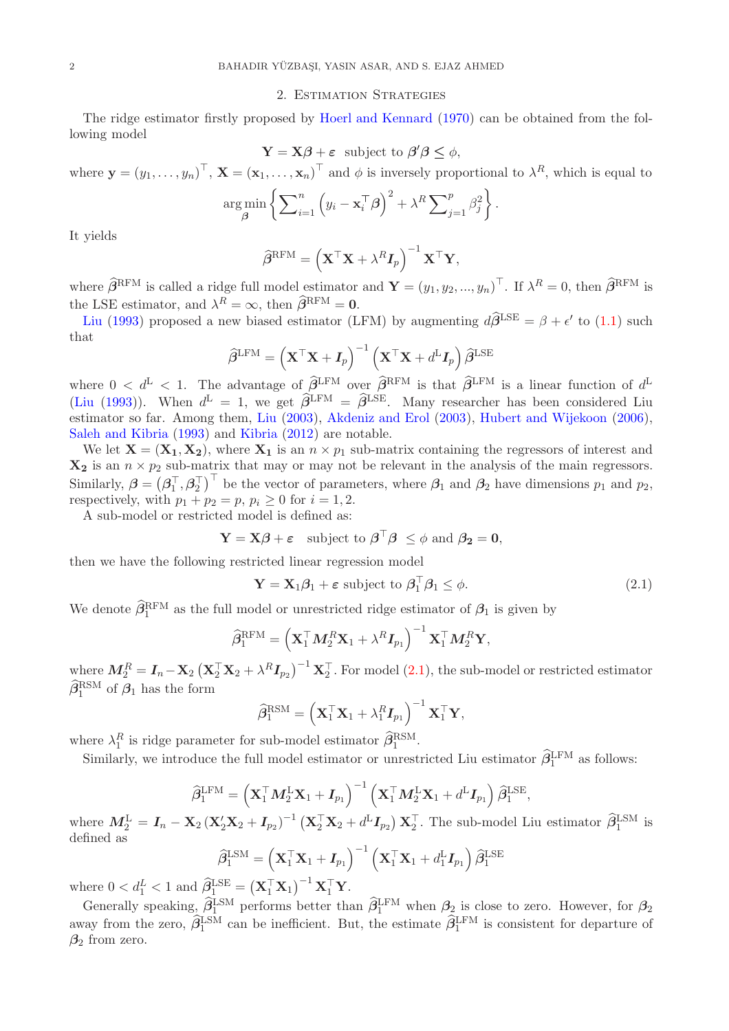#### 2. Estimation Strategies

The ridge estimator firstly proposed by [Hoerl and Kennard](#page-17-0) [\(1970](#page-17-0)) can be obtained from the following model

$$
\mathbf{Y} = \mathbf{X}\boldsymbol{\beta} + \boldsymbol{\varepsilon} \text{ subject to } \boldsymbol{\beta}'\boldsymbol{\beta} \leq \boldsymbol{\phi},
$$

where  $\mathbf{y} = (y_1, \dots, y_n)^\top$ ,  $\mathbf{X} = (\mathbf{x}_1, \dots, \mathbf{x}_n)^\top$  and  $\phi$  is inversely proportional to  $\lambda^R$ , which is equal to

$$
\arg\min_{\boldsymbol{\beta}} \left\{ \sum_{i=1}^{n} \left( y_i - \mathbf{x}_i^{\top} \boldsymbol{\beta} \right)^2 + \lambda^R \sum_{j=1}^{p} \beta_j^2 \right\}.
$$

It yields

$$
\widehat{\boldsymbol{\beta}}^{\text{RFM}}=\left(\mathbf{X}^{\top} \mathbf{X}+\lambda^{R} \boldsymbol{I}_{p}\right)^{-1} \mathbf{X}^{\top} \mathbf{Y},
$$

where  $\widehat{\beta}^{RFM}$  is called a ridge full model estimator and  $\mathbf{Y} = (y_1, y_2, ..., y_n)^\top$ . If  $\lambda^R = 0$ , then  $\widehat{\beta}^{RFM}$  is the LSE estimator, and  $\lambda^R = \infty$ , then  $\widehat{\beta}^{\text{RFM}} = 0$ .

[Liu](#page-17-1) [\(1993](#page-17-1)) proposed a new biased estimator (LFM) by augmenting  $d\hat{\beta}^{LSE} = \beta + \epsilon'$  to [\(1.1\)](#page-0-0) such that

$$
\widehat{\boldsymbol{\beta}}^{\mathrm{LFM}} = \left(\mathbf{X}^{\top} \mathbf{X} + \boldsymbol{I_p}\right)^{-1} \left(\mathbf{X}^{\top} \mathbf{X} + d^{\mathrm{L}} \boldsymbol{I_p}\right) \widehat{\boldsymbol{\beta}}^{\mathrm{LSE}}
$$

where  $0 < d^{\text{L}} < 1$ . The advantage of  $\widehat{\beta}^{\text{LFM}}$  over  $\widehat{\beta}^{\text{RFM}}$  is that  $\widehat{\beta}^{\text{LFM}}$  is a linear function of  $d^{\text{L}}$ [\(Liu](#page-17-1) [\(1993](#page-17-1))). When  $d^L = 1$ , we get  $\hat{\beta}^{LFM} = \hat{\beta}^{LSE}$ . Many researcher has been considered Liu estimator so far. Among them, [Liu](#page-17-2) [\(2003](#page-17-2)), [Akdeniz and Erol](#page-17-5) [\(2003](#page-17-5)), [Hubert and Wijekoon](#page-17-6) [\(2006](#page-17-6)), [Saleh and Kibria](#page-17-7) [\(1993](#page-17-7)) and [Kibria](#page-17-8) [\(2012](#page-17-8)) are notable.

We let  $X = (X_1, X_2)$ , where  $X_1$  is an  $n \times p_1$  sub-matrix containing the regressors of interest and  $\mathbf{X}_2$  is an  $n \times p_2$  sub-matrix that may or may not be relevant in the analysis of the main regressors. Similarly,  $\boldsymbol{\beta} = (\boldsymbol{\beta}_1^{\top}, \boldsymbol{\beta}_2^{\top})^{\top}$  be the vector of parameters, where  $\boldsymbol{\beta}_1$  and  $\boldsymbol{\beta}_2$  have dimensions  $p_1$  and  $p_2$ , respectively, with  $p_1 + p_2 = p$ ,  $p_i \ge 0$  for  $i = 1, 2$ .

A sub-model or restricted model is defined as:

$$
\mathbf{Y} = \mathbf{X}\boldsymbol{\beta} + \boldsymbol{\varepsilon} \quad \text{subject to } \boldsymbol{\beta}^{\top}\boldsymbol{\beta} \ \leq \phi \text{ and } \boldsymbol{\beta_2} = \mathbf{0},
$$

then we have the following restricted linear regression model

<span id="page-1-0"></span>
$$
\mathbf{Y} = \mathbf{X}_1 \boldsymbol{\beta}_1 + \boldsymbol{\varepsilon} \text{ subject to } \boldsymbol{\beta}_1^\top \boldsymbol{\beta}_1 \le \phi. \tag{2.1}
$$

We denote  $\hat{\beta}_1^{\text{RFM}}$  as the full model or unrestricted ridge estimator of  $\beta_1$  is given by

$$
\widehat{\beta}_1^\text{RFM} = \left( \mathbf{X}_1^\top \bm{M}_2^R \mathbf{X}_1 + \lambda^R \bm{I}_{p_1} \right)^{-1} \mathbf{X}_1^\top \bm{M}_2^R \mathbf{Y},
$$

where  $M_2^R = I_n - \mathbf{X}_2 \left( \mathbf{X}_2^\top \mathbf{X}_2 + \lambda^R I_{p_2} \right)^{-1} \mathbf{X}_2^\top$ . For model [\(2.1\)](#page-1-0), the sub-model or restricted estimator  $\hat{\beta}_1^{\text{RSM}}$  of  $\beta_1$  has the form

$$
\widehat{\beta}_1^{\text{RSM}} = \left(\mathbf{X}_1^{\top} \mathbf{X}_1 + \lambda_1^R \mathbf{I}_{p_1}\right)^{-1} \mathbf{X}_1^{\top} \mathbf{Y},
$$

where  $\lambda_1^R$  is ridge parameter for sub-model estimator  $\hat{\beta}_1^{\text{RSM}}$ .

Similarly, we introduce the full model estimator or unrestricted Liu estimator  $\hat{\beta}_1^{\text{LFM}}$  as follows:

$$
\widehat{\beta}_1^{\text{LFM}} = \left( \mathbf{X}_1^\top \mathbf{M}_2^{\text{L}} \mathbf{X}_1 + \mathbf{I}_{p_1} \right)^{-1} \left( \mathbf{X}_1^\top \mathbf{M}_2^{\text{L}} \mathbf{X}_1 + d^{\text{L}} \mathbf{I}_{p_1} \right) \widehat{\beta}_1^{\text{LSE}},
$$

where  $M_2^{\text{L}} = I_n - \mathbf{X}_2 (\mathbf{X}_2' \mathbf{X}_2 + I_{p_2})^{-1} (\mathbf{X}_2^{\top} \mathbf{X}_2 + d^{\text{L}} I_{p_2}) \mathbf{X}_2^{\top}$ . The sub-model Liu estimator  $\widehat{\beta}_1^{\text{LSM}}$  is defined as  $\overline{E}$ 

$$
\widehat{\beta}_1^{\text{LSM}} = \left(\mathbf{X}_1^{\top} \mathbf{X}_1 + \boldsymbol{I}_{p_1}\right)^{-1} \left(\mathbf{X}_1^{\top} \mathbf{X}_1 + d_1^{\text{L}} \boldsymbol{I}_{p_1}\right) \widehat{\beta}_1^{\text{LSM}}
$$

where  $0 < d_1^L < 1$  and  $\widehat{\beta}_1^{\text{LSE}} = (\mathbf{X}_1^{\top} \mathbf{X}_1)^{-1} \mathbf{X}_1^{\top} \mathbf{Y}$ .

Generally speaking,  $\hat{\beta}_1^{\text{LSM}}$  performs better than  $\hat{\beta}_1^{\text{LFM}}$  when  $\beta_2$  is close to zero. However, for  $\beta_2$ away from the zero,  $\hat{\beta}_1^{\text{LSM}}$  can be inefficient. But, the estimate  $\hat{\beta}_1^{\text{LFM}}$  is consistent for departure of  $\beta_2$  from zero.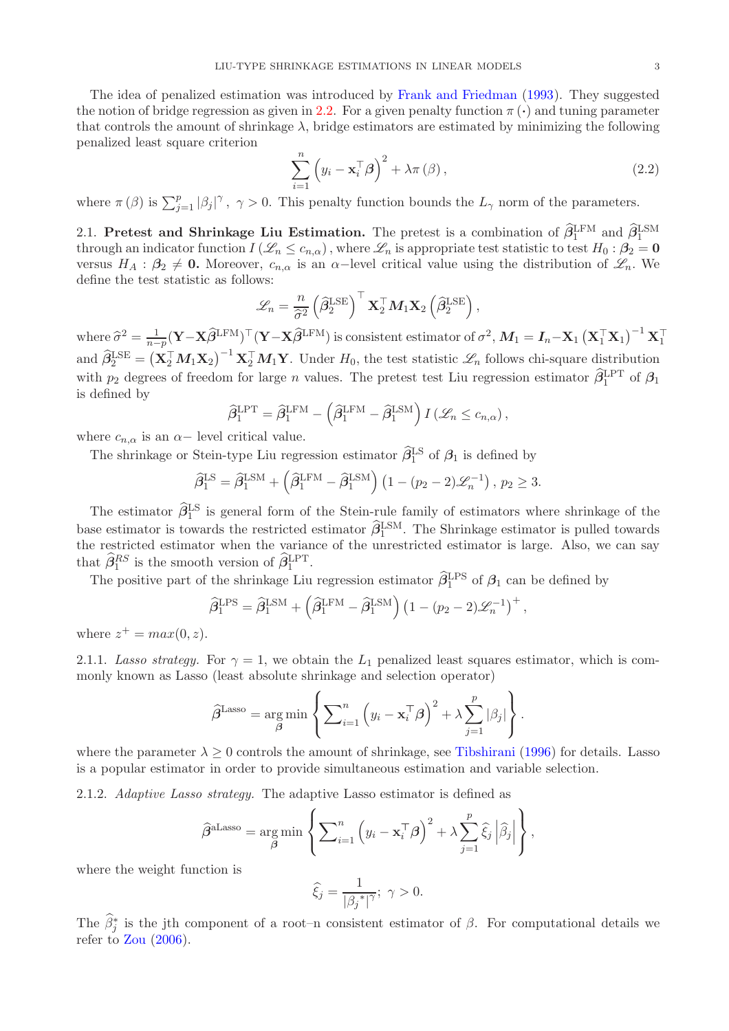The idea of penalized estimation was introduced by [Frank and Friedman](#page-17-9) [\(1993](#page-17-9)). They suggested the notion of bridge regression as given in [2.2.](#page-2-0) For a given penalty function  $\pi(\cdot)$  and tuning parameter that controls the amount of shrinkage  $\lambda$ , bridge estimators are estimated by minimizing the following penalized least square criterion

<span id="page-2-0"></span>
$$
\sum_{i=1}^{n} \left( y_i - \mathbf{x}_i^{\top} \boldsymbol{\beta} \right)^2 + \lambda \pi \left( \boldsymbol{\beta} \right), \tag{2.2}
$$

where  $\pi(\beta)$  is  $\sum_{j=1}^p |\beta_j|^\gamma$ ,  $\gamma > 0$ . This penalty function bounds the  $L_\gamma$  norm of the parameters.

2.1. Pretest and Shrinkage Liu Estimation. The pretest is a combination of  $\hat{\beta}_1^{\text{LFM}}$  and  $\hat{\beta}_1^{\text{LSM}}$ through an indicator function  $I(\mathcal{L}_n \leq c_{n,\alpha})$ , where  $\mathcal{L}_n$  is appropriate test statistic to test  $H_0: \beta_2 = 0$ versus  $H_A: \beta_2 \neq \mathbf{0}$ . Moreover,  $c_{n,\alpha}$  is an  $\alpha$ -level critical value using the distribution of  $\mathscr{L}_n$ . We define the test statistic as follows:

$$
\mathscr{L}_n = \frac{n}{\widehat{\sigma}^2} \left( \widehat{\beta}_2^{\text{LSE}} \right)^\top \mathbf{X}_2^\top \mathbf{M}_1 \mathbf{X}_2 \left( \widehat{\beta}_2^{\text{LSE}} \right),
$$

where  $\hat{\sigma}^2 = \frac{1}{n-p} (\mathbf{Y} - \mathbf{X} \hat{\boldsymbol{\beta}}^{\text{LFM}})^\top (\mathbf{Y} - \mathbf{X} \hat{\boldsymbol{\beta}}^{\text{LFM}})$  is consistent estimator of  $\sigma^2$ ,  $M_1 = I_n - \mathbf{X}_1 (\mathbf{X}_1^\top \mathbf{X}_1)^{-1} \mathbf{X}_1^\top$ and  $\hat{\beta}_2^{\text{LSE}} = (\mathbf{X}_2^{\top} \mathbf{M}_1 \mathbf{X}_2)^{-1} \mathbf{X}_2^{\top} \mathbf{M}_1 \mathbf{Y}$ . Under  $H_0$ , the test statistic  $\mathscr{L}_n$  follows chi-square distribution with  $p_2$  degrees of freedom for large *n* values. The pretest test Liu regression estimator  $\hat{\beta}_1^{\text{LPT}}$  of  $\beta_1$ is defined by

$$
\widehat{\beta}_1^{\text{LPT}} = \widehat{\beta}_1^{\text{LFM}} - \left(\widehat{\beta}_1^{\text{LFM}} - \widehat{\beta}_1^{\text{LSM}}\right)I\left(\mathscr{L}_n \leq c_{n,\alpha}\right),
$$

where  $c_{n,\alpha}$  is an  $\alpha-$  level critical value.

The shrinkage or Stein-type Liu regression estimator  $\hat{\beta}_1^{\text{LS}}$  of  $\beta_1$  is defined by

$$
\widehat{\beta}_1^{\text{LS}} = \widehat{\beta}_1^{\text{LSM}} + \left(\widehat{\beta}_1^{\text{LFM}} - \widehat{\beta}_1^{\text{LSM}}\right) \left(1 - (p_2 - 2)\mathscr{L}_n^{-1}\right), \ p_2 \ge 3.
$$

The estimator  $\hat{\beta}_1^{\text{LS}}$  is general form of the Stein-rule family of estimators where shrinkage of the base estimator is towards the restricted estimator  $\hat{\beta}_1^{\text{LSM}}$ . The Shrinkage estimator is pulled towards the restricted estimator when the variance of the unrestricted estimator is large. Also, we can say that  $\hat{\beta}_1^{RS}$  is the smooth version of  $\hat{\beta}_1^{LPT}$ .

The positive part of the shrinkage Liu regression estimator  $\hat{\beta}_1^{\text{LPS}}$  of  $\beta_1$  can be defined by

$$
\widehat{\beta}_1^{\text{LPS}} = \widehat{\beta}_1^{\text{LSM}} + \left(\widehat{\beta}_1^{\text{LFM}} - \widehat{\beta}_1^{\text{LSM}}\right) \left(1 - (p_2 - 2)\mathscr{L}_n^{-1}\right)^+,
$$

where  $z^+ = max(0, z)$ .

2.1.1. Lasso strategy. For  $\gamma = 1$ , we obtain the  $L_1$  penalized least squares estimator, which is commonly known as Lasso (least absolute shrinkage and selection operator)

$$
\widehat{\boldsymbol{\beta}}^{\text{Lasso}} = \underset{\boldsymbol{\beta}}{\text{arg min}} \left\{ \sum_{i=1}^{n} \left( y_i - \mathbf{x}_i^{\top} \boldsymbol{\beta} \right)^2 + \lambda \sum_{j=1}^{p} |\beta_j| \right\}.
$$

where the parameter  $\lambda \geq 0$  controls the amount of shrinkage, see [Tibshirani](#page-17-10) [\(1996\)](#page-17-10) for details. Lasso is a popular estimator in order to provide simultaneous estimation and variable selection.

2.1.2. *Adaptive Lasso strategy.* The adaptive Lasso estimator is defined as

$$
\widehat{\beta}^{\text{aLasso}} = \underset{\beta}{\arg \min} \left\{ \sum_{i=1}^{n} \left( y_i - \mathbf{x}_i^{\top} \beta \right)^2 + \lambda \sum_{j=1}^{p} \widehat{\xi}_j \left| \widehat{\beta}_j \right| \right\},\
$$

where the weight function is

$$
\widehat{\xi}_j = \frac{1}{|\beta_j^*|^\gamma}; \ \gamma > 0.
$$

The  $\widehat{\beta}_j^*$  is the jth component of a root–n consistent estimator of  $\beta$ . For computational details we refer to [Zou](#page-17-11)  $(2006)$ .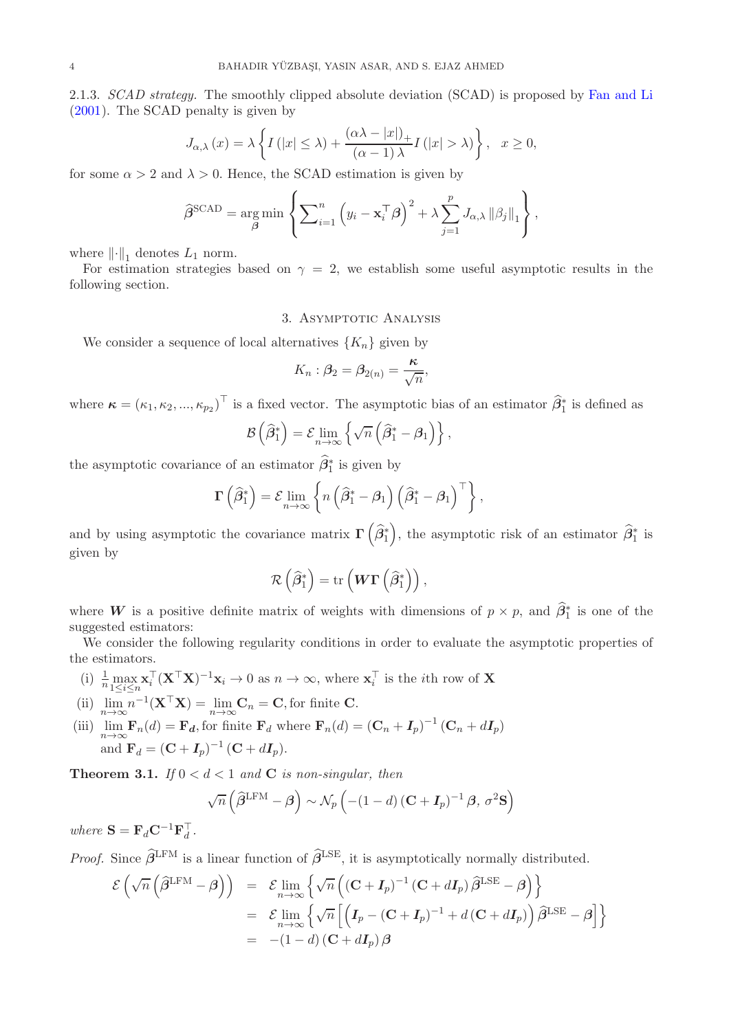2.1.3. *SCAD strategy.* The smoothly clipped absolute deviation (SCAD) is proposed by [Fan and Li](#page-17-12) [\(2001](#page-17-12)). The SCAD penalty is given by

$$
J_{\alpha,\lambda}(x) = \lambda \left\{ I(|x| \le \lambda) + \frac{(\alpha \lambda - |x|)_+}{(\alpha - 1)\lambda} I(|x| > \lambda) \right\}, \quad x \ge 0,
$$

for some  $\alpha > 2$  and  $\lambda > 0$ . Hence, the SCAD estimation is given by

$$
\widehat{\boldsymbol{\beta}}^{\text{SCAD}} = \underset{\boldsymbol{\beta}}{\text{arg min}} \left\{ \sum_{i=1}^{n} \left( y_i - \mathbf{x}_i^{\top} \boldsymbol{\beta} \right)^2 + \lambda \sum_{j=1}^{p} J_{\alpha,\lambda} \left\| \beta_j \right\|_1 \right\},\
$$

where  $\left\| \cdot \right\|_1$  denotes  $L_1$  norm.

For estimation strategies based on  $\gamma = 2$ , we establish some useful asymptotic results in the following section.

# 3. ASYMPTOTIC ANALYSIS

We consider a sequence of local alternatives  ${K_n}$  given by

$$
K_n: \beta_2 = \beta_{2(n)} = \frac{\kappa}{\sqrt{n}},
$$

where  $\boldsymbol{\kappa} = (\kappa_1, \kappa_2, ..., \kappa_{p_2})^\top$  is a fixed vector. The asymptotic bias of an estimator  $\hat{\beta}_1^*$  is defined as

$$
\mathcal{B}\left(\widehat{\beta}_{1}^{*}\right)=\mathcal{E}\lim_{n\to\infty}\left\{\sqrt{n}\left(\widehat{\beta}_{1}^{*}-\beta_{1}\right)\right\},\,
$$

the asymptotic covariance of an estimator  $\widehat{\beta}_1^*$  is given by

$$
\Gamma\left(\widehat{\beta}_{1}^{*}\right) = \mathcal{E}\lim_{n\to\infty}\left\{ n\left(\widehat{\beta}_{1}^{*}-\beta_{1}\right)\left(\widehat{\beta}_{1}^{*}-\beta_{1}\right)^{\top}\right\},\
$$

and by using asymptotic the covariance matrix  $\Gamma\left(\widehat{\beta}_1^* \right)$ ), the asymptotic risk of an estimator  $\widehat{\beta}_1^*$  is given by

$$
\mathcal{R}\left(\widehat{\beta}_1^*\right)=\mathrm{tr}\left(\boldsymbol{W\Gamma}\left(\widehat{\beta}_1^*\right)\right),
$$

where W is a positive definite matrix of weights with dimensions of  $p \times p$ , and  $\hat{\beta}_1^*$  is one of the suggested estimators:

We consider the following regularity conditions in order to evaluate the asymptotic properties of the estimators.

- (i)  $\frac{1}{n} \max_{1 \leq i \leq n} \mathbf{x}_i^{\top} (\mathbf{X}^{\top} \mathbf{X})^{-1} \mathbf{x}_i \to 0$  as  $n \to \infty$ , where  $\mathbf{x}_i^{\top}$  is the *i*th row of **X**
- (ii)  $\lim_{n \to \infty} n^{-1}(\mathbf{X}^{\top} \mathbf{X}) = \lim_{n \to \infty} \mathbf{C}_n = \mathbf{C}$ , for finite **C**.
- (iii)  $\lim_{n \to \infty} \mathbf{F}_n(d) = \mathbf{F}_d$ , for finite  $\mathbf{F}_d$  where  $\mathbf{F}_n(d) = (\mathbf{C}_n + \mathbf{I}_p)^{-1} (\mathbf{C}_n + d\mathbf{I}_p)$ and  $\mathbf{F}_d = (\mathbf{C} + \mathbf{I}_p)^{-1} (\mathbf{C} + d\mathbf{I}_p).$

<span id="page-3-0"></span>**Theorem 3.1.** *If*  $0 < d < 1$  *and* **C** *is non-singular, then* 

$$
\sqrt{n}\left(\widehat{\beta}^{\text{LFM}}-\beta\right) \sim \mathcal{N}_p\left(-(1-d)\left(\mathbf{C}+\boldsymbol{I}_p\right)^{-1}\beta,\,\sigma^2\mathbf{S}\right)
$$

*where*  $\mathbf{S} = \mathbf{F}_d \mathbf{C}^{-1} \mathbf{F}_d^{\top}$ .

*Proof.* Since  $\widehat{\beta}^{\text{LFM}}$  is a linear function of  $\widehat{\beta}^{\text{LSE}}$ , it is asymptotically normally distributed.

$$
\mathcal{E}\left(\sqrt{n}\left(\widehat{\beta}^{\text{LFM}}-\beta\right)\right) = \mathcal{E}\lim_{n\to\infty}\left\{\sqrt{n}\left((\mathbf{C}+\boldsymbol{I}_p)^{-1}(\mathbf{C}+d\boldsymbol{I}_p)\widehat{\beta}^{\text{LSE}}-\beta\right)\right\}
$$
  
\n
$$
= \mathcal{E}\lim_{n\to\infty}\left\{\sqrt{n}\left[\left(\boldsymbol{I}_p-(\mathbf{C}+\boldsymbol{I}_p)^{-1}+d(\mathbf{C}+d\boldsymbol{I}_p)\right)\widehat{\beta}^{\text{LSE}}-\beta\right]\right\}
$$
  
\n
$$
= -(1-d)(\mathbf{C}+d\boldsymbol{I}_p)\beta
$$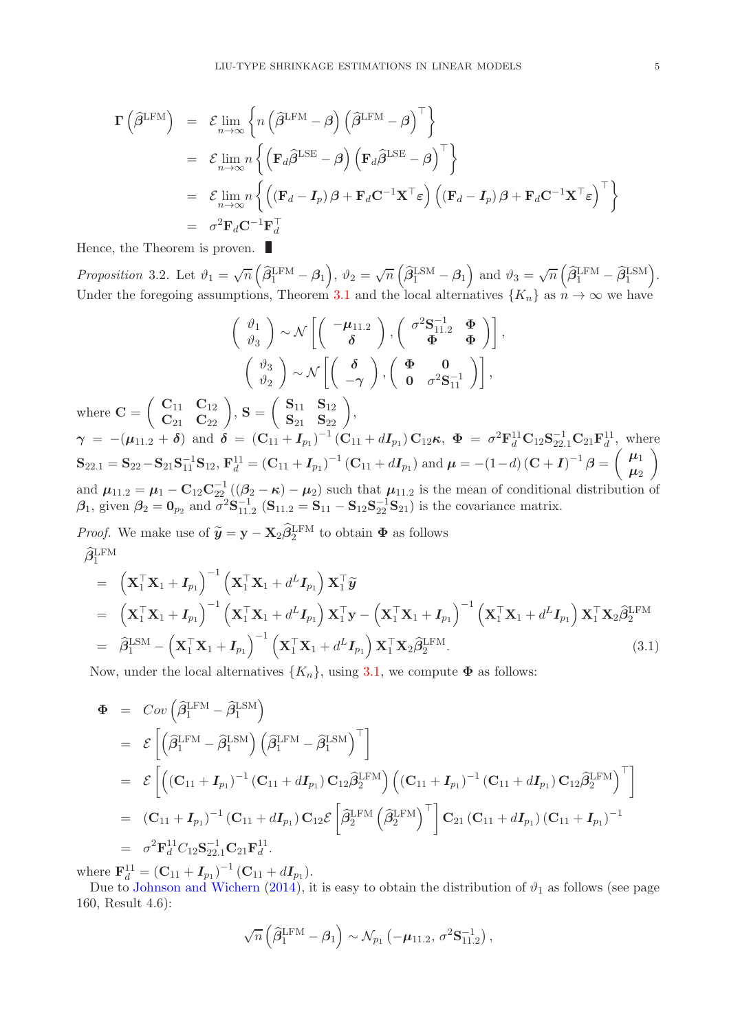$$
\mathbf{\Gamma} (\hat{\beta}^{\text{LFM}}) = \mathcal{E} \lim_{n \to \infty} \left\{ n \left( \hat{\beta}^{\text{LFM}} - \beta \right) \left( \hat{\beta}^{\text{LFM}} - \beta \right)^{\top} \right\}
$$
\n
$$
= \mathcal{E} \lim_{n \to \infty} n \left\{ \left( \mathbf{F}_d \hat{\beta}^{\text{LSE}} - \beta \right) \left( \mathbf{F}_d \hat{\beta}^{\text{LSE}} - \beta \right)^{\top} \right\}
$$
\n
$$
= \mathcal{E} \lim_{n \to \infty} n \left\{ \left( (\mathbf{F}_d - \mathbf{I}_p) \beta + \mathbf{F}_d \mathbf{C}^{-1} \mathbf{X}^{\top} \boldsymbol{\varepsilon} \right) \left( (\mathbf{F}_d - \mathbf{I}_p) \beta + \mathbf{F}_d \mathbf{C}^{-1} \mathbf{X}^{\top} \boldsymbol{\varepsilon} \right)^{\top} \right\}
$$
\n
$$
= \sigma^2 \mathbf{F}_d \mathbf{C}^{-1} \mathbf{F}_d^{\top}
$$

Hence, the Theorem is proven.  $\blacksquare$ 

<span id="page-4-1"></span>*Proposition* 3.2*.* Let  $\vartheta_1 = \sqrt{n} \left( \widehat{\beta}_1^{\text{LFM}} - \beta_1 \right)$ ,  $\vartheta_2 = \sqrt{n} \left( \widehat{\beta}_1^{\text{LSM}} - \beta_1 \right)$  and  $\vartheta_3 = \sqrt{n} \left( \widehat{\beta}_1^{\text{LFM}} - \widehat{\beta}_1^{\text{LSM}} \right)$  . Under the foregoing assumptions, Theorem [3.1](#page-3-0) and the local alternatives  $\{K_n\}$  as  $n \to \infty$  we have

$$
\begin{pmatrix}\n\vartheta_1 \\
\vartheta_3\n\end{pmatrix} \sim \mathcal{N} \left[ \begin{pmatrix}\n-\mu_{11.2} \\
\delta\n\end{pmatrix}, \begin{pmatrix}\n\sigma^2 \mathbf{S}_{11.2}^{-1} & \boldsymbol{\Phi} \\
\boldsymbol{\Phi} & \boldsymbol{\Phi}\n\end{pmatrix} \right],
$$
\n
$$
\begin{pmatrix}\n\vartheta_3 \\
\vartheta_2\n\end{pmatrix} \sim \mathcal{N} \left[ \begin{pmatrix}\n\delta \\
-\gamma\n\end{pmatrix}, \begin{pmatrix}\n\boldsymbol{\Phi} & \mathbf{0} \\
\mathbf{0} & \sigma^2 \mathbf{S}_{11}^{-1}\n\end{pmatrix} \right],
$$
\n
$$
\begin{pmatrix}\n\mathbf{S}_{11} & \mathbf{S}_{12}\n\end{pmatrix}
$$

where  $\mathbf{C} =$  $\left( \begin{array}{cc} {\bf C}_{11} & {\bf C}_{12} \\ {\bf C}_{21} & {\bf C}_{22} \end{array} \right),\, {\bf S} =$  $\begin{pmatrix} S_{11} & S_{12} \ S_{21} & S_{22} \end{pmatrix}$  $\gamma = -(\mu_{11.2} + \delta)$  and  $\delta = (\mathbf{C}_{11} + I_{p_1})^{-1} (\mathbf{C}_{11} + dI_{p_1}) \mathbf{C}_{12} \kappa$ ,  $\Phi = \sigma^2 \mathbf{F}_d^{11} \mathbf{C}_{12} \mathbf{S}_{22.1}^{-1} \mathbf{C}_{21} \mathbf{F}_d^{11}$ , where  $\mathbf{S}_{22.1} = \mathbf{S}_{22} - \mathbf{S}_{21} \mathbf{S}_{11}^{-1} \mathbf{S}_{12}, \ \mathbf{F}_{d}^{11} = (\mathbf{C}_{11} + \mathbf{I}_{p_1})^{-1} (\mathbf{C}_{11} + d\mathbf{I}_{p_1}) \text{ and } \boldsymbol{\mu} = -(1-d)(\mathbf{C} + \mathbf{I})^{-1} \boldsymbol{\beta} = \begin{pmatrix} \boldsymbol{\mu}_1 \\ \boldsymbol{\mu}_2 \end{pmatrix}$  $\mu_2$  $\overline{ }$ and  $\mu_{11.2} = \mu_1 - C_{12}C_{22}^{-1}((\beta_2 - \kappa) - \mu_2)$  such that  $\mu_{11.2}$  is the mean of conditional distribution of  $\beta_1$ , given  $\beta_2 = 0_{p_2}$  and  $\sigma^2 S_{11.2}^{-1}$   $(S_{11.2} = S_{11} - S_{12} S_{22}^{-1} S_{21})$  is the covariance matrix.

*Proof.* We make use of  $\tilde{\mathbf{y}} = \mathbf{y} - \mathbf{X}_2 \tilde{\beta}_2^{\text{LFM}}$  to obtain  $\Phi$  as follows  $\widehat{\beta}_1^{\text{LFM}}$ 

<span id="page-4-0"></span>
$$
= \left(\mathbf{X}_{1}^{\top}\mathbf{X}_{1} + \mathbf{I}_{p_{1}}\right)^{-1} \left(\mathbf{X}_{1}^{\top}\mathbf{X}_{1} + d^{L}\mathbf{I}_{p_{1}}\right) \mathbf{X}_{1}^{\top}\widetilde{\mathbf{y}}
$$
\n
$$
= \left(\mathbf{X}_{1}^{\top}\mathbf{X}_{1} + \mathbf{I}_{p_{1}}\right)^{-1} \left(\mathbf{X}_{1}^{\top}\mathbf{X}_{1} + d^{L}\mathbf{I}_{p_{1}}\right) \mathbf{X}_{1}^{\top}\mathbf{y} - \left(\mathbf{X}_{1}^{\top}\mathbf{X}_{1} + \mathbf{I}_{p_{1}}\right)^{-1} \left(\mathbf{X}_{1}^{\top}\mathbf{X}_{1} + d^{L}\mathbf{I}_{p_{1}}\right) \mathbf{X}_{1}^{\top}\mathbf{X}_{2} \widehat{\beta}_{2}^{\text{LFM}}
$$
\n
$$
= \widehat{\beta}_{1}^{\text{LSM}} - \left(\mathbf{X}_{1}^{\top}\mathbf{X}_{1} + \mathbf{I}_{p_{1}}\right)^{-1} \left(\mathbf{X}_{1}^{\top}\mathbf{X}_{1} + d^{L}\mathbf{I}_{p_{1}}\right) \mathbf{X}_{1}^{\top}\mathbf{X}_{2} \widehat{\beta}_{2}^{\text{LFM}}.
$$
\n(3.1)

Now, under the local alternatives  $\{K_n\}$ , using [3.1,](#page-4-0) we compute  $\Phi$  as follows:

$$
\Phi = Cov\left(\hat{\beta}_{1}^{\text{LFM}} - \hat{\beta}_{1}^{\text{LSM}}\right)
$$
\n
$$
= \mathcal{E}\left[\left(\hat{\beta}_{1}^{\text{LFM}} - \hat{\beta}_{1}^{\text{LSM}}\right) \left(\hat{\beta}_{1}^{\text{LFM}} - \hat{\beta}_{1}^{\text{LSM}}\right)^{\top}\right]
$$
\n
$$
= \mathcal{E}\left[\left((\mathbf{C}_{11} + \mathbf{I}_{p_{1}})^{-1}(\mathbf{C}_{11} + d\mathbf{I}_{p_{1}})\mathbf{C}_{12}\hat{\beta}_{2}^{\text{LFM}}\right) \left((\mathbf{C}_{11} + \mathbf{I}_{p_{1}})^{-1}(\mathbf{C}_{11} + d\mathbf{I}_{p_{1}})\mathbf{C}_{12}\hat{\beta}_{2}^{\text{LFM}}\right)^{\top}\right]
$$
\n
$$
= (\mathbf{C}_{11} + \mathbf{I}_{p_{1}})^{-1}(\mathbf{C}_{11} + d\mathbf{I}_{p_{1}})\mathbf{C}_{12}\mathcal{E}\left[\hat{\beta}_{2}^{\text{LFM}}\left(\hat{\beta}_{2}^{\text{LFM}}\right)^{\top}\right] \mathbf{C}_{21}(\mathbf{C}_{11} + d\mathbf{I}_{p_{1}})(\mathbf{C}_{11} + \mathbf{I}_{p_{1}})^{-1}
$$
\n
$$
= \sigma^{2}\mathbf{F}_{d}^{11}C_{12}\mathbf{S}_{22.1}^{-1}\mathbf{C}_{21}\mathbf{F}_{d}^{11}.
$$

where  $\mathbf{F}_{d}^{11} = (\mathbf{C}_{11} + \mathbf{I}_{p_1})^{-1} (\mathbf{C}_{11} + d\mathbf{I}_{p_1}).$ 

Due to [Johnson and Wichern](#page-17-13) [\(2014](#page-17-13)), it is easy to obtain the distribution of  $\vartheta_1$  as follows (see page 160, Result 4.6):

$$
\sqrt{n}\left(\widehat{\beta}_1^{\text{LFM}}-\beta_1\right)\sim \mathcal{N}_{p_1}\left(-\boldsymbol{\mu}_{11.2},\,\sigma^2\mathbf{S}_{11.2}^{-1}\right),\,
$$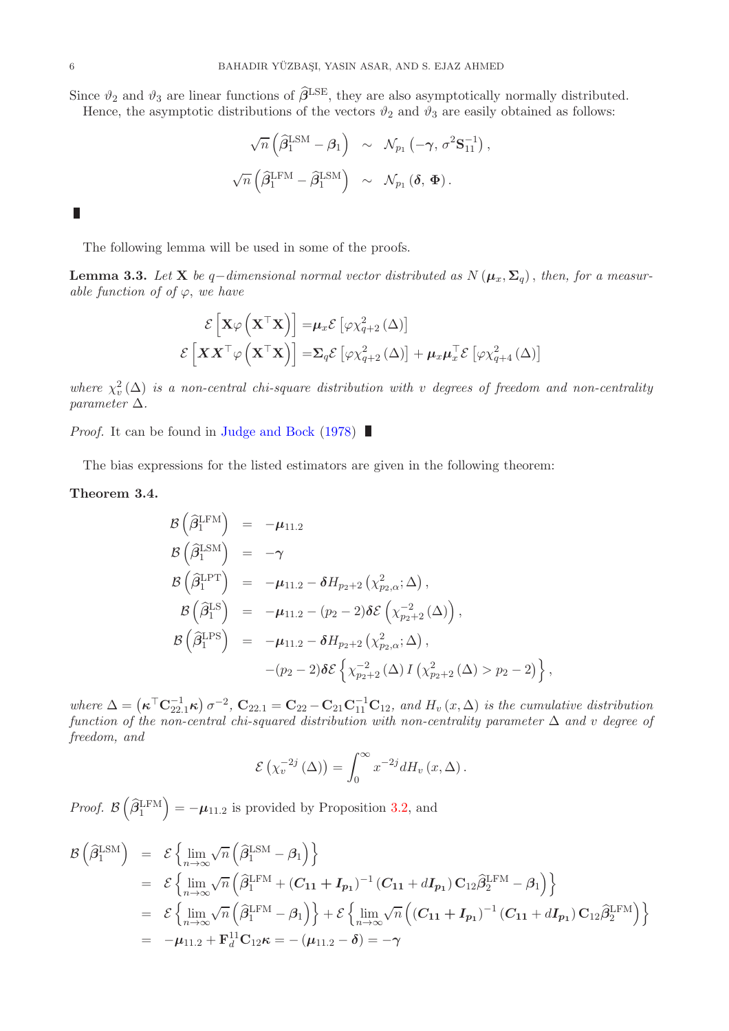Since  $\vartheta_2$  and  $\vartheta_3$  are linear functions of  $\widehat{\beta}^{\text{LSE}}$ , they are also asymptotically normally distributed. Hence, the asymptotic distributions of the vectors  $\vartheta_2$  and  $\vartheta_3$  are easily obtained as follows:

$$
\begin{array}{rcl}\sqrt{n}\left(\widehat{\beta}_1^{\text{LSM}}-\beta_1\right)&\sim&\mathcal{N}_{p_1}\left(-\gamma,\,\sigma^2\mathbf{S}_{11}^{-1}\right),\\ \sqrt{n}\left(\widehat{\beta}_1^{\text{LFM}}-\widehat{\beta}_1^{\text{LSM}}\right)&\sim&\mathcal{N}_{p_1}\left(\pmb{\delta},\,\pmb{\Phi}\right).\end{array}
$$

The following lemma will be used in some of the proofs.

<span id="page-5-0"></span>**Lemma 3.3.** Let **X** be q-dimensional normal vector distributed as  $N(\mu_x, \Sigma_q)$ , then, for a measur*able function of of*  $\varphi$ , *we have* 

$$
\mathcal{E}\left[\mathbf{X}\varphi\left(\mathbf{X}^{\top}\mathbf{X}\right)\right]=\mu_{x}\mathcal{E}\left[\varphi\chi_{q+2}^{2}\left(\Delta\right)\right]
$$
\n
$$
\mathcal{E}\left[\mathbf{X}\mathbf{X}^{\top}\varphi\left(\mathbf{X}^{\top}\mathbf{X}\right)\right]=\Sigma_{q}\mathcal{E}\left[\varphi\chi_{q+2}^{2}\left(\Delta\right)\right]+\mu_{x}\mu_{x}^{\top}\mathcal{E}\left[\varphi\chi_{q+4}^{2}\left(\Delta\right)\right]
$$

where  $\chi_v^2(\Delta)$  *is a non-central chi-square distribution with* v *degrees of freedom and non-centrality parameter* ∆*.*

*Proof.* It can be found in [Judge and Bock](#page-17-14) [\(1978\)](#page-17-14)

The bias expressions for the listed estimators are given in the following theorem:

#### Theorem 3.4.

$$
\mathcal{B}(\hat{\beta}_1^{\text{LFM}}) = -\mu_{11.2}
$$
\n
$$
\mathcal{B}(\hat{\beta}_1^{\text{LSM}}) = -\gamma
$$
\n
$$
\mathcal{B}(\hat{\beta}_1^{\text{LFT}}) = -\mu_{11.2} - \delta H_{p_2+2}(\chi_{p_2,\alpha}^2; \Delta),
$$
\n
$$
\mathcal{B}(\hat{\beta}_1^{\text{LST}}) = -\mu_{11.2} - (p_2 - 2)\delta \mathcal{E}(\chi_{p_2+2}^{-2}(\Delta)),
$$
\n
$$
\mathcal{B}(\hat{\beta}_1^{\text{LPS}}) = -\mu_{11.2} - \delta H_{p_2+2}(\chi_{p_2,\alpha}^2; \Delta),
$$
\n
$$
-(p_2 - 2)\delta \mathcal{E}(\chi_{p_2+2}^{-2}(\Delta) I(\chi_{p_2+2}^2(\Delta) > p_2 - 2)),
$$

 $where \Delta = (\kappa^{\top} C_{22.1}^{-1} \kappa) \sigma^{-2}$ ,  $C_{22.1} = C_{22} - C_{21} C_{11}^{-1} C_{12}$ , and  $H_v(x, \Delta)$  is the cumulative distribution *function of the non-central chi-squared distribution with non-centrality parameter* ∆ *and* v *degree of freedom, and*

$$
\mathcal{E}(\chi_v^{-2j}(\Delta)) = \int_0^\infty x^{-2j} dH_v(x, \Delta).
$$

*Proof.*  $\mathcal{B}(\widehat{\beta}_1^{\text{LFM}})$  $= -\mu_{11.2}$  is provided by Proposition [3.2,](#page-4-1) and

$$
\mathcal{B}(\hat{\beta}_{1}^{\text{LSM}}) = \mathcal{E}\left\{\lim_{n\to\infty}\sqrt{n}\left(\hat{\beta}_{1}^{\text{LSM}} - \beta_{1}\right)\right\}
$$
  
\n
$$
= \mathcal{E}\left\{\lim_{n\to\infty}\sqrt{n}\left(\hat{\beta}_{1}^{\text{LFM}} + (C_{11} + I_{p_1})^{-1}(C_{11} + dI_{p_1})\mathbf{C}_{12}\hat{\beta}_{2}^{\text{LFM}} - \beta_{1}\right)\right\}
$$
  
\n
$$
= \mathcal{E}\left\{\lim_{n\to\infty}\sqrt{n}\left(\hat{\beta}_{1}^{\text{LFM}} - \beta_{1}\right)\right\} + \mathcal{E}\left\{\lim_{n\to\infty}\sqrt{n}\left((C_{11} + I_{p_1})^{-1}(C_{11} + dI_{p_1})\mathbf{C}_{12}\hat{\beta}_{2}^{\text{LFM}}\right)\right\}
$$
  
\n
$$
= -\mu_{11.2} + \mathbf{F}_{d}^{11}\mathbf{C}_{12}\kappa = -(\mu_{11.2} - \delta) = -\gamma
$$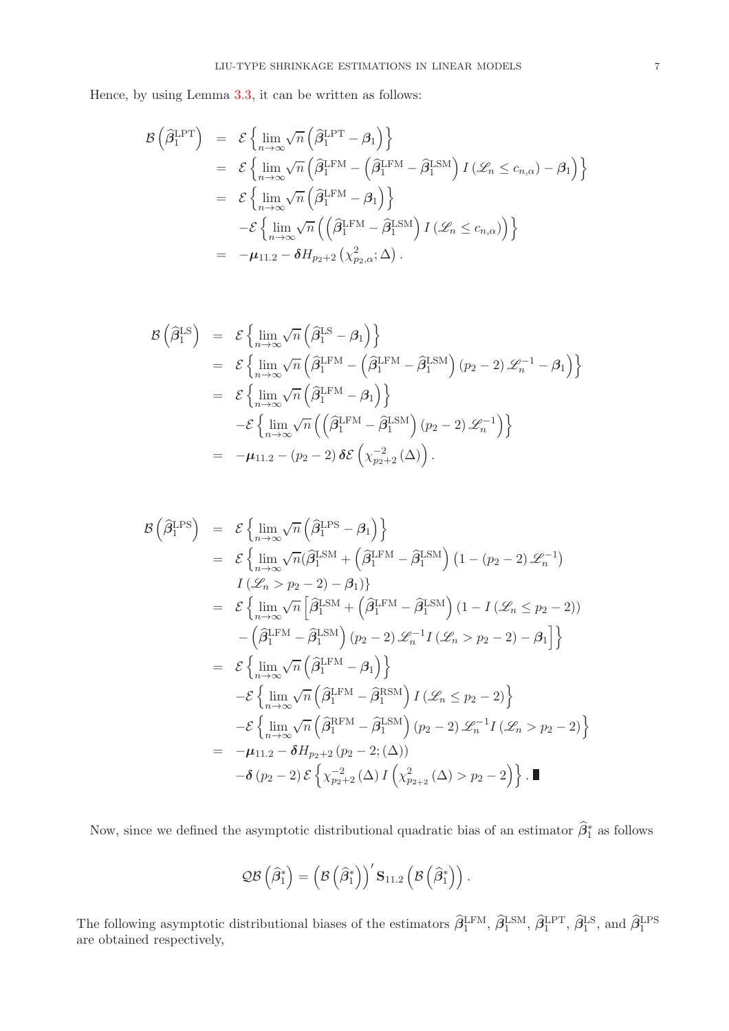Hence, by using Lemma [3.3,](#page-5-0) it can be written as follows:

$$
\mathcal{B}(\hat{\beta}_{1}^{\text{LPT}}) = \mathcal{E}\left\{\lim_{n\to\infty}\sqrt{n}\left(\hat{\beta}_{1}^{\text{LPT}}-\beta_{1}\right)\right\} \n= \mathcal{E}\left\{\lim_{n\to\infty}\sqrt{n}\left(\hat{\beta}_{1}^{\text{LFM}}-\left(\hat{\beta}_{1}^{\text{LFM}}-\hat{\beta}_{1}^{\text{LSM}}\right)I\left(\mathscr{L}_{n}\leq c_{n,\alpha}\right)-\beta_{1}\right)\right\} \n= \mathcal{E}\left\{\lim_{n\to\infty}\sqrt{n}\left(\hat{\beta}_{1}^{\text{LFM}}-\beta_{1}\right)\right\} \n- \mathcal{E}\left\{\lim_{n\to\infty}\sqrt{n}\left(\left(\hat{\beta}_{1}^{\text{LFM}}-\hat{\beta}_{1}^{\text{LSM}}\right)I\left(\mathscr{L}_{n}\leq c_{n,\alpha}\right)\right)\right\} \n= -\mu_{11.2}-\delta H_{p_{2}+2}\left(\chi_{p_{2},\alpha}^{2};\Delta\right).
$$

$$
\mathcal{B}(\hat{\beta}_1^{\text{LS}}) = \mathcal{E}\left\{\lim_{n\to\infty}\sqrt{n}\left(\hat{\beta}_1^{\text{LS}} - \beta_1\right)\right\}
$$
  
\n
$$
= \mathcal{E}\left\{\lim_{n\to\infty}\sqrt{n}\left(\hat{\beta}_1^{\text{LFM}} - \left(\hat{\beta}_1^{\text{LFM}} - \hat{\beta}_1^{\text{LSM}}\right)(p_2 - 2)\mathcal{L}_n^{-1} - \beta_1\right)\right\}
$$
  
\n
$$
= \mathcal{E}\left\{\lim_{n\to\infty}\sqrt{n}\left(\hat{\beta}_1^{\text{LFM}} - \beta_1\right)\right\}
$$
  
\n
$$
- \mathcal{E}\left\{\lim_{n\to\infty}\sqrt{n}\left(\left(\hat{\beta}_1^{\text{LFM}} - \hat{\beta}_1^{\text{LSM}}\right)(p_2 - 2)\mathcal{L}_n^{-1}\right)\right\}
$$
  
\n
$$
= -\mu_{11.2} - (p_2 - 2)\delta\mathcal{E}\left(\chi_{p_2+2}^{-2}(\Delta)\right).
$$

$$
\mathcal{B}(\hat{\beta}_1^{\text{LPS}}) = \mathcal{E}\left\{\lim_{n\to\infty}\sqrt{n}\left(\hat{\beta}_1^{\text{LPS}}-\beta_1\right)\right\}
$$
  
\n
$$
= \mathcal{E}\left\{\lim_{n\to\infty}\sqrt{n}(\hat{\beta}_1^{\text{LSM}}+\left(\hat{\beta}_1^{\text{LFM}}-\hat{\beta}_1^{\text{LSM}}\right)\left(1-(p_2-2)\mathcal{L}_n^{-1}\right)\right\}
$$
  
\n
$$
I(\mathcal{L}_n>p_2-2)-\beta_1\right\}
$$
  
\n
$$
= \mathcal{E}\left\{\lim_{n\to\infty}\sqrt{n}\left[\hat{\beta}_1^{\text{LSM}}+\left(\hat{\beta}_1^{\text{LFM}}-\hat{\beta}_1^{\text{LSM}}\right)\left(1-I(\mathcal{L}_n\leq p_2-2)\right)\right.\right.
$$
  
\n
$$
-\left(\hat{\beta}_1^{\text{LFM}}-\hat{\beta}_1^{\text{LSM}}\right)\left(p_2-2\right)\mathcal{L}_n^{-1}I(\mathcal{L}_n>p_2-2)-\beta_1\right]\right\}
$$
  
\n
$$
= \mathcal{E}\left\{\lim_{n\to\infty}\sqrt{n}\left(\hat{\beta}_1^{\text{LFM}}-\beta_1\right)\right\}
$$
  
\n
$$
-\mathcal{E}\left\{\lim_{n\to\infty}\sqrt{n}\left(\hat{\beta}_1^{\text{LFM}}-\hat{\beta}_1^{\text{RSM}}\right)I(\mathcal{L}_n\leq p_2-2)\right\}
$$
  
\n
$$
-\mathcal{E}\left\{\lim_{n\to\infty}\sqrt{n}\left(\hat{\beta}_1^{\text{RFM}}-\hat{\beta}_1^{\text{LSM}}\right)(p_2-2)\mathcal{L}_n^{-1}I(\mathcal{L}_n>p_2-2)\right\}
$$
  
\n
$$
= -\mu_{11.2}-\delta H_{p_2+2}(p_2-2;(\Delta))
$$
  
\n
$$
-\delta(p_2-2)\mathcal{E}\left\{\chi_{p_2+2}^{-2}(\Delta)I(\chi_{p_2+2}^2(\Delta)>p_2-2)\right\}.
$$

Now, since we defined the asymptotic distributional quadratic bias of an estimator  $\hat{\beta}_1^*$  as follows

$$
\mathcal{QB}\left(\widehat{\beta}_{1}^{*}\right)=\left(\mathcal{B}\left(\widehat{\beta}_{1}^{*}\right)\right)'\mathbf{S}_{11.2}\left(\mathcal{B}\left(\widehat{\beta}_{1}^{*}\right)\right).
$$

The following asymptotic distributional biases of the estimators  $\hat{\beta}_1^{\text{LFM}}, \hat{\beta}_1^{\text{LSM}}, \hat{\beta}_1^{\text{LPT}}, \hat{\beta}_1^{\text{LS}},$  and  $\hat{\beta}_1^{\text{LPS}}$ <br>are obtained respectively,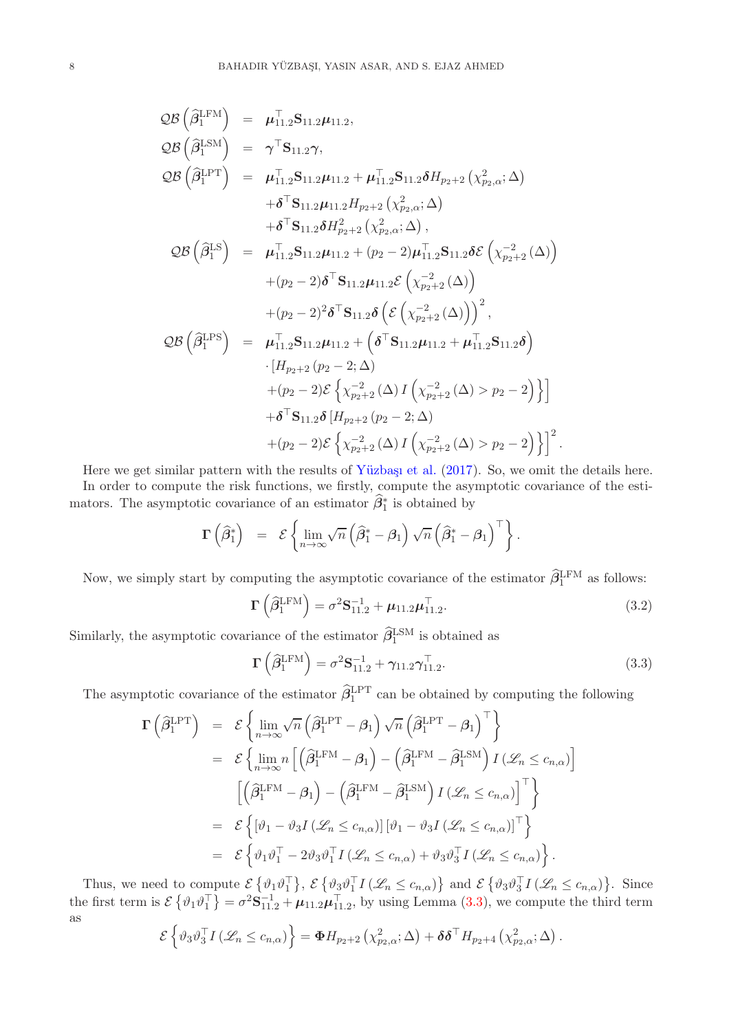$$
\begin{split}\n\mathcal{Q}\mathcal{B}\left(\hat{\beta}_{1}^{\text{LFM}}\right) &= \mu_{11.2}^{\top}\mathbf{S}_{11.2}\mu_{11.2}, \\
\mathcal{Q}\mathcal{B}\left(\hat{\beta}_{1}^{\text{LSM}}\right) &= \gamma^{\top}\mathbf{S}_{11.2}\gamma, \\
\mathcal{Q}\mathcal{B}\left(\hat{\beta}_{1}^{\text{LPT}}\right) &= \mu_{11.2}^{\top}\mathbf{S}_{11.2}\mu_{11.2} + \mu_{11.2}^{\top}\mathbf{S}_{11.2}\delta H_{p_{2}+2}\left(\chi_{p_{2},\alpha}^{2};\Delta\right) \\
&\quad + \delta^{\top}\mathbf{S}_{11.2}\mu_{11.2}H_{p_{2}+2}\left(\chi_{p_{2},\alpha}^{2};\Delta\right), \\
\mathcal{Q}\mathcal{B}\left(\hat{\beta}_{1}^{\text{L}}\right) &= \mu_{11.2}^{\top}\mathbf{S}_{11.2}\mu_{11.2} + (p_{2} - 2)\mu_{11.2}^{\top}\mathbf{S}_{11.2}\delta\mathcal{E}\left(\chi_{p_{2}+2}^{-2}(\Delta)\right) \\
&\quad + (p_{2} - 2)\delta^{\top}\mathbf{S}_{11.2}\mu_{11.2}\mathcal{E}\left(\chi_{p_{2}+2}^{-2}(\Delta)\right) \\
&\quad + (p_{2} - 2)^{2}\delta^{\top}\mathbf{S}_{11.2}\delta\left(\mathcal{E}\left(\chi_{p_{2}+2}^{-2}(\Delta)\right)\right)^{2}, \\
\mathcal{Q}\mathcal{B}\left(\hat{\beta}_{1}^{\text{LPS}}\right) &= \mu_{11.2}^{\top}\mathbf{S}_{11.2}\mu_{11.2} + \left(\delta^{\top}\mathbf{S}_{11.2}\mu_{11.2} + \mu_{11.2}^{\top}\mathbf{S}_{11.2}\delta\right) \\
&\quad \cdot[H_{p_{2}+2}(p_{2} - 2;\Delta) \\
&\quad + (p_{2} - 2)\mathcal{E}\left\{\chi_{p_{2}+2}^{-2}(\Delta)\left(\chi_{p_{2}+2}^{-2}(\Delta) > p_{2} - 2\right)\right\}\right] \\
&\quad + \delta^{\top}\math
$$

Here we get similar pattern with the results of Yüzbaşı et al. [\(2017\)](#page-17-4). So, we omit the details here.

In order to compute the risk functions, we firstly, compute the asymptotic covariance of the estimators. The asymptotic covariance of an estimator  $\widehat{\beta}_1^*$  is obtained by

$$
\Gamma\left(\widehat{\beta}_1^*\right) = \mathcal{E}\left\{\lim_{n\to\infty}\sqrt{n}\left(\widehat{\beta}_1^*-\beta_1\right)\sqrt{n}\left(\widehat{\beta}_1^*-\beta_1\right)^\top\right\}.
$$

Now, we simply start by computing the asymptotic covariance of the estimator  $\hat{\beta}_1^{\text{LFM}}$  as follows:

<span id="page-7-0"></span>
$$
\Gamma\left(\hat{\beta}_1^{\text{LFM}}\right) = \sigma^2 \mathbf{S}_{11.2}^{-1} + \mu_{11.2} \mu_{11.2}^\top. \tag{3.2}
$$

Similarly, the asymptotic covariance of the estimator  $\hat{\beta}_1^{\text{LSM}}$  is obtained as

<span id="page-7-1"></span>
$$
\boldsymbol{\Gamma}\left(\widehat{\boldsymbol{\beta}}_1^{\text{LFM}}\right) = \sigma^2 \mathbf{S}_{11.2}^{-1} + \gamma_{11.2} \gamma_{11.2}^\top. \tag{3.3}
$$

The asymptotic covariance of the estimator  $\hat{\beta}_1^{\text{LPT}}$  can be obtained by computing the following

$$
\Gamma\left(\widehat{\beta}_{1}^{\text{LPT}}\right) = \mathcal{E}\left\{\lim_{n\to\infty}\sqrt{n}\left(\widehat{\beta}_{1}^{\text{LPT}} - \beta_{1}\right)\sqrt{n}\left(\widehat{\beta}_{1}^{\text{LPT}} - \beta_{1}\right)^{\top}\right\}
$$
\n
$$
= \mathcal{E}\left\{\lim_{n\to\infty}n\left[\left(\widehat{\beta}_{1}^{\text{LFM}} - \beta_{1}\right) - \left(\widehat{\beta}_{1}^{\text{LFM}} - \widehat{\beta}_{1}^{\text{LSM}}\right)I\left(\mathscr{L}_{n} \leq c_{n,\alpha}\right)\right]
$$
\n
$$
\left[\left(\widehat{\beta}_{1}^{\text{LFM}} - \beta_{1}\right) - \left(\widehat{\beta}_{1}^{\text{LFM}} - \widehat{\beta}_{1}^{\text{LSM}}\right)I\left(\mathscr{L}_{n} \leq c_{n,\alpha}\right)\right]^{\top}\right\}
$$
\n
$$
= \mathcal{E}\left\{\left[\vartheta_{1} - \vartheta_{3}I\left(\mathscr{L}_{n} \leq c_{n,\alpha}\right)\right]\left[\vartheta_{1} - \vartheta_{3}I\left(\mathscr{L}_{n} \leq c_{n,\alpha}\right)\right]^{\top}\right\}
$$
\n
$$
= \mathcal{E}\left\{\vartheta_{1}\vartheta_{1}^{\top} - 2\vartheta_{3}\vartheta_{1}^{\top}I\left(\mathscr{L}_{n} \leq c_{n,\alpha}\right) + \vartheta_{3}\vartheta_{3}^{\top}I\left(\mathscr{L}_{n} \leq c_{n,\alpha}\right)\right\}.
$$

Thus, we need to compute  $\mathcal{E}\left\{\vartheta_1\vartheta_1^\top\right\}$ ,  $\mathcal{E}\left\{\vartheta_3\vartheta_1^\top I\left(\mathcal{L}_n \leq c_{n,\alpha}\right)\right\}$  and  $\mathcal{E}\left\{\vartheta_3\vartheta_3^\top I\left(\mathcal{L}_n \leq c_{n,\alpha}\right)\right\}$ . Since the first term is  $\mathcal{E} \{\vartheta_1 \vartheta_1^{\top}\} = \sigma^2 \mathbf{S}_{11.2}^{-1} + \mu_{11.2} \mu_{11.2}^{\top}$ , by using Lemma [\(3.3\)](#page-5-0), we compute the third term as  $\int$  $\overline{1}$ 

$$
\mathcal{E}\left\{\vartheta_3\vartheta_3^{\top}I\left(\mathscr{L}_n\leq c_{n,\alpha}\right)\right\}=\Phi H_{p_2+2}\left(\chi_{p_2,\alpha}^2;\Delta\right)+\boldsymbol{\delta}\boldsymbol{\delta}^{\top}H_{p_2+4}\left(\chi_{p_2,\alpha}^2;\Delta\right).
$$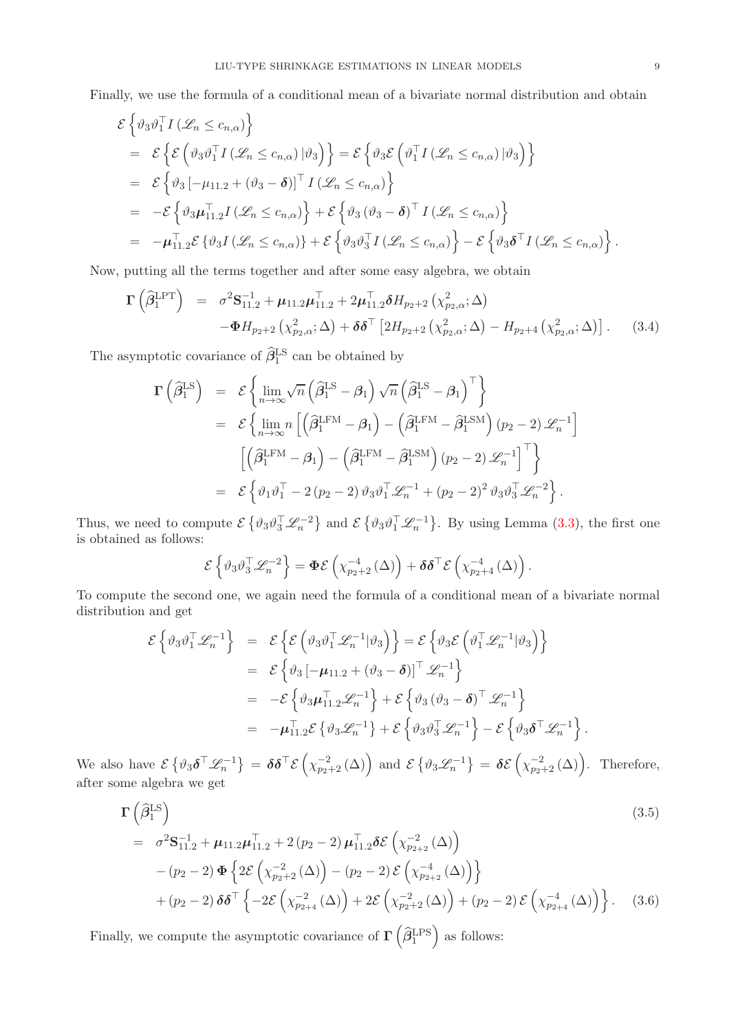Finally, we use the formula of a conditional mean of a bivariate normal distribution and obtain

$$
\mathcal{E}\left\{\vartheta_{3}\vartheta_{1}^{\top}I\left(\mathcal{L}_{n} \leq c_{n,\alpha}\right)\right\}
$$
\n
$$
= \mathcal{E}\left\{\mathcal{E}\left(\vartheta_{3}\vartheta_{1}^{\top}I\left(\mathcal{L}_{n} \leq c_{n,\alpha}\right)|\vartheta_{3}\right)\right\} = \mathcal{E}\left\{\vartheta_{3}\mathcal{E}\left(\vartheta_{1}^{\top}I\left(\mathcal{L}_{n} \leq c_{n,\alpha}\right)|\vartheta_{3}\right)\right\}
$$
\n
$$
= \mathcal{E}\left\{\vartheta_{3}\left[-\mu_{11.2} + (\vartheta_{3} - \delta)\right]^{\top}I\left(\mathcal{L}_{n} \leq c_{n,\alpha}\right)\right\}
$$
\n
$$
= -\mathcal{E}\left\{\vartheta_{3}\mu_{11.2}^{\top}I\left(\mathcal{L}_{n} \leq c_{n,\alpha}\right)\right\} + \mathcal{E}\left\{\vartheta_{3}\left(\vartheta_{3} - \delta\right)^{\top}I\left(\mathcal{L}_{n} \leq c_{n,\alpha}\right)\right\}
$$
\n
$$
= -\mu_{11.2}^{\top}\mathcal{E}\left\{\vartheta_{3}I\left(\mathcal{L}_{n} \leq c_{n,\alpha}\right)\right\} + \mathcal{E}\left\{\vartheta_{3}\vartheta_{3}^{\top}I\left(\mathcal{L}_{n} \leq c_{n,\alpha}\right)\right\} - \mathcal{E}\left\{\vartheta_{3}\delta^{\top}I\left(\mathcal{L}_{n} \leq c_{n,\alpha}\right)\right\}.
$$

Now, putting all the terms together and after some easy algebra, we obtain

<span id="page-8-0"></span>
$$
\mathbf{\Gamma}\left(\widehat{\beta}_{1}^{\text{LPT}}\right) = \sigma^{2}\mathbf{S}_{11.2}^{-1} + \mu_{11.2}\mu_{11.2}^{\top} + 2\mu_{11.2}^{\top}\delta H_{p_{2}+2}\left(\chi_{p_{2},\alpha}^{2};\Delta\right) \n- \Phi H_{p_{2}+2}\left(\chi_{p_{2},\alpha}^{2};\Delta\right) + \delta\delta^{\top}\left[2H_{p_{2}+2}\left(\chi_{p_{2},\alpha}^{2};\Delta\right) - H_{p_{2}+4}\left(\chi_{p_{2},\alpha}^{2};\Delta\right)\right].
$$
\n(3.4)

The asymptotic covariance of  $\hat{\beta}_1^{\text{LS}}$  can be obtained by

$$
\Gamma\left(\widehat{\beta}_{1}^{\text{LS}}\right) = \mathcal{E}\left\{\lim_{n\to\infty}\sqrt{n}\left(\widehat{\beta}_{1}^{\text{LS}}-\beta_{1}\right)\sqrt{n}\left(\widehat{\beta}_{1}^{\text{LS}}-\beta_{1}\right)^{\top}\right\}
$$
  
\n
$$
= \mathcal{E}\left\{\lim_{n\to\infty}n\left[\left(\widehat{\beta}_{1}^{\text{LFM}}-\beta_{1}\right)-\left(\widehat{\beta}_{1}^{\text{LFM}}-\widehat{\beta}_{1}^{\text{LSM}}\right)(p_{2}-2)\mathcal{L}_{n}^{-1}\right]\right\}
$$
  
\n
$$
\left[\left(\widehat{\beta}_{1}^{\text{LFM}}-\beta_{1}\right)-\left(\widehat{\beta}_{1}^{\text{LFM}}-\widehat{\beta}_{1}^{\text{LSM}}\right)(p_{2}-2)\mathcal{L}_{n}^{-1}\right]^{\top}\right\}
$$
  
\n
$$
= \mathcal{E}\left\{\vartheta_{1}\vartheta_{1}^{\top}-2(p_{2}-2)\vartheta_{3}\vartheta_{1}^{\top}\mathcal{L}_{n}^{-1}+(p_{2}-2)^{2}\vartheta_{3}\vartheta_{3}^{\top}\mathcal{L}_{n}^{-2}\right\}.
$$

Thus, we need to compute  $\mathcal{E} \{ \vartheta_3 \vartheta_3^\top \mathcal{L}_n^{-2} \}$  and  $\mathcal{E} \{ \vartheta_3 \vartheta_1^\top \mathcal{L}_n^{-1} \}$ . By using Lemma [\(3.3\)](#page-5-0), the first one is obtained as follows:

$$
\mathcal{E}\left\{\vartheta_3\vartheta_3^{\top}\mathscr{L}_n^{-2}\right\} = \Phi\mathcal{E}\left(\chi_{p_2+2}^{-4}\left(\Delta\right)\right) + \delta\delta^{\top}\mathcal{E}\left(\chi_{p_2+4}^{-4}\left(\Delta\right)\right).
$$

To compute the second one, we again need the formula of a conditional mean of a bivariate normal distribution and get

$$
\mathcal{E}\left\{\vartheta_3\vartheta_1^\top\mathscr{L}_n^{-1}\right\} = \mathcal{E}\left\{\mathcal{E}\left(\vartheta_3\vartheta_1^\top\mathscr{L}_n^{-1}|\vartheta_3\right)\right\} = \mathcal{E}\left\{\vartheta_3\mathcal{E}\left(\vartheta_1^\top\mathscr{L}_n^{-1}|\vartheta_3\right)\right\}
$$
  
\n
$$
= \mathcal{E}\left\{\vartheta_3\left[-\mu_{11.2}+(\vartheta_3-\delta)\right]^\top\mathscr{L}_n^{-1}\right\}
$$
  
\n
$$
= -\mathcal{E}\left\{\vartheta_3\mu_{11.2}^\top\mathscr{L}_n^{-1}\right\} + \mathcal{E}\left\{\vartheta_3\left(\vartheta_3-\delta\right)^\top\mathscr{L}_n^{-1}\right\}
$$
  
\n
$$
= -\mu_{11.2}^\top\mathcal{E}\left\{\vartheta_3\mathscr{L}_n^{-1}\right\} + \mathcal{E}\left\{\vartheta_3\vartheta_3^\top\mathscr{L}_n^{-1}\right\} - \mathcal{E}\left\{\vartheta_3\delta^\top\mathscr{L}_n^{-1}\right\}.
$$

We also have  $\mathcal{E}\left\{\vartheta_3 \boldsymbol{\delta}^\top \mathcal{L}_n^{-1}\right\} = \boldsymbol{\delta} \boldsymbol{\delta}^\top \mathcal{E}\left(\chi_{p_2+2}^{-2}(\Delta)\right)$  and  $\mathcal{E}\left\{\vartheta_3 \mathcal{L}_n^{-1}\right\} = \boldsymbol{\delta} \mathcal{E}\left(\chi_{p_2+2}^{-2}(\Delta)\right)$ . Therefore, after some algebra we get

<span id="page-8-1"></span>
$$
\Gamma\left(\widehat{\beta}_{1}^{\text{LS}}\right) \qquad (3.5)
$$
\n
$$
= \sigma^{2}\mathbf{S}_{11.2}^{-1} + \mu_{11.2}\mu_{11.2}^{\top} + 2(p_{2} - 2)\mu_{11.2}^{\top}\delta\mathcal{E}\left(\chi_{p_{2+2}}^{-2}(\Delta)\right) \\
- (p_{2} - 2)\Phi\left\{2\mathcal{E}\left(\chi_{p_{2+2}}^{-2}(\Delta)\right) - (p_{2} - 2)\mathcal{E}\left(\chi_{p_{2+2}}^{-4}(\Delta)\right)\right\} \\
+ (p_{2} - 2)\delta\delta^{\top}\left\{-2\mathcal{E}\left(\chi_{p_{2+4}}^{-2}(\Delta)\right) + 2\mathcal{E}\left(\chi_{p_{2+2}}^{-2}(\Delta)\right) + (p_{2} - 2)\mathcal{E}\left(\chi_{p_{2+4}}^{-4}(\Delta)\right)\right\}.\n\tag{3.6}
$$

Finally, we compute the asymptotic covariance of  $\Gamma\left(\widehat{\beta}_1^{\text{LPS}}\right)$ as follows: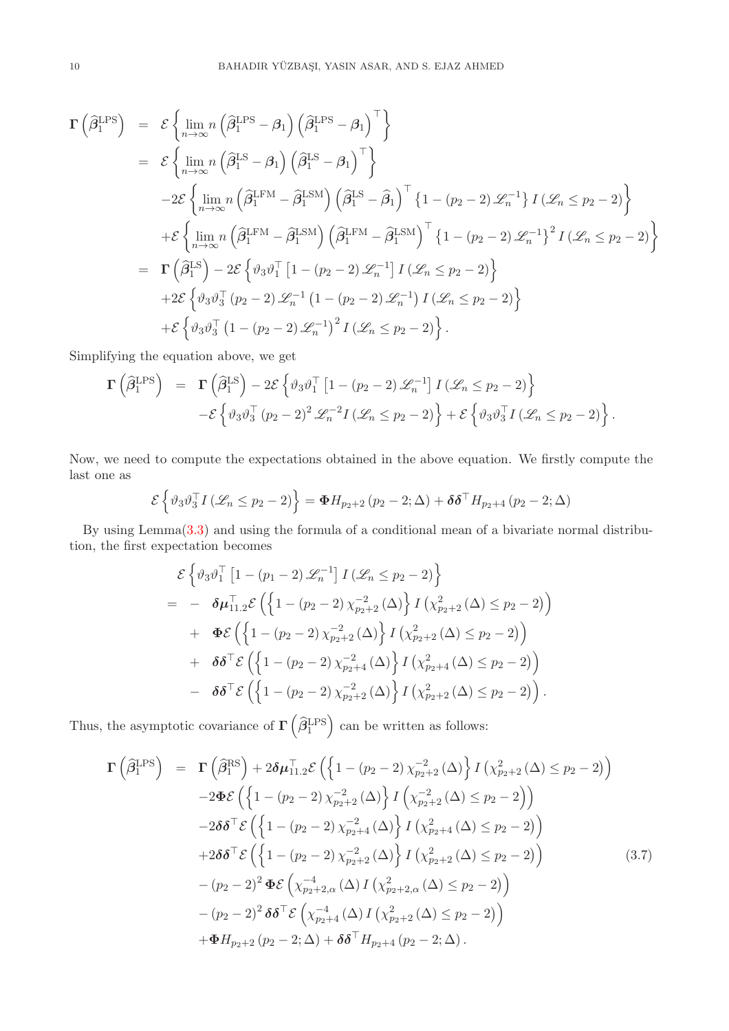$$
\Gamma\left(\widehat{\beta}_1^{\text{LPS}}\right) = \mathcal{E}\left\{\lim_{n\to\infty} n\left(\widehat{\beta}_1^{\text{LPS}} - \beta_1\right) \left(\widehat{\beta}_1^{\text{LPS}} - \beta_1\right)^{\top}\right\}
$$
\n
$$
= \mathcal{E}\left\{\lim_{n\to\infty} n\left(\widehat{\beta}_1^{\text{LSS}} - \beta_1\right) \left(\widehat{\beta}_1^{\text{LSS}} - \beta_1\right)^{\top}\right\}
$$
\n
$$
-2\mathcal{E}\left\{\lim_{n\to\infty} n\left(\widehat{\beta}_1^{\text{LFM}} - \widehat{\beta}_1^{\text{LSM}}\right) \left(\widehat{\beta}_1^{\text{LSS}} - \widehat{\beta}_1\right)^{\top} \left\{1 - (p_2 - 2)\mathscr{L}_n^{-1}\right\} I \left(\mathscr{L}_n \leq p_2 - 2\right)\right\}
$$
\n
$$
+ \mathcal{E}\left\{\lim_{n\to\infty} n\left(\widehat{\beta}_1^{\text{LFM}} - \widehat{\beta}_1^{\text{LSM}}\right) \left(\widehat{\beta}_1^{\text{LFM}} - \widehat{\beta}_1^{\text{LSM}}\right)^{\top} \left\{1 - (p_2 - 2)\mathscr{L}_n^{-1}\right\}^2 I \left(\mathscr{L}_n \leq p_2 - 2\right)\right\}
$$
\n
$$
= \Gamma\left(\widehat{\beta}_1^{\text{LS}}\right) - 2\mathcal{E}\left\{\vartheta_3\vartheta_1^{\top}\left[1 - (p_2 - 2)\mathscr{L}_n^{-1}\right] I \left(\mathscr{L}_n \leq p_2 - 2\right)\right\}
$$
\n
$$
+ 2\mathcal{E}\left\{\vartheta_3\vartheta_3^{\top}\left(p_2 - 2\right)\mathscr{L}_n^{-1}\left(1 - (p_2 - 2)\mathscr{L}_n^{-1}\right) I \left(\mathscr{L}_n \leq p_2 - 2\right)\right\}
$$
\n
$$
+ \mathcal{E}\left\{\vartheta_3\vartheta_3^{\top}\left(1 - (p_2 - 2)\mathscr{L}_n^{-1}\right)^2 I \left(\mathscr{L}_n \leq p_2 - 2\right)\right\
$$

Simplifying the equation above, we get

$$
\Gamma\left(\widehat{\beta}_1^{\text{LPS}}\right) = \Gamma\left(\widehat{\beta}_1^{\text{LS}}\right) - 2\mathcal{E}\left\{\vartheta_3\vartheta_1^{\top}\left[1 - (p_2 - 2)\mathscr{L}_n^{-1}\right]I\left(\mathscr{L}_n \leq p_2 - 2\right)\right\} \n- \mathcal{E}\left\{\vartheta_3\vartheta_3^{\top}\left(p_2 - 2\right)^2\mathscr{L}_n^{-2}I\left(\mathscr{L}_n \leq p_2 - 2\right)\right\} + \mathcal{E}\left\{\vartheta_3\vartheta_3^{\top}I\left(\mathscr{L}_n \leq p_2 - 2\right)\right\}.
$$

Now, we need to compute the expectations obtained in the above equation. We firstly compute the last one as

$$
\mathcal{E}\left\{\vartheta_3\vartheta_3^\top I\left(\mathscr{L}_n\leq p_2-2\right)\right\}=\Phi H_{p_2+2}\left(p_2-2;\Delta\right)+\pmb{\delta}\pmb{\delta}^\top H_{p_2+4}\left(p_2-2;\Delta\right)
$$

By using Lemma[\(3.3\)](#page-5-0) and using the formula of a conditional mean of a bivariate normal distribution, the first expectation becomes

$$
\mathcal{E}\left\{\vartheta_{3}\vartheta_{1}^{\top}\left[1-(p_{1}-2)\mathscr{L}_{n}^{-1}\right]I\left(\mathscr{L}_{n}\leq p_{2}-2\right)\right\}
$$
\n
$$
= -\delta\mu_{11.2}^{\top}\mathcal{E}\left(\left\{1-(p_{2}-2)\chi_{p_{2}+2}^{-2}(\Delta)\right\}I\left(\chi_{p_{2}+2}^{2}(\Delta)\leq p_{2}-2\right)\right)
$$
\n
$$
+\Phi\mathcal{E}\left(\left\{1-(p_{2}-2)\chi_{p_{2}+2}^{-2}(\Delta)\right\}I\left(\chi_{p_{2}+2}^{2}(\Delta)\leq p_{2}-2\right)\right)
$$
\n
$$
+\delta\delta^{\top}\mathcal{E}\left(\left\{1-(p_{2}-2)\chi_{p_{2}+4}^{-2}(\Delta)\right\}I\left(\chi_{p_{2}+4}^{2}(\Delta)\leq p_{2}-2\right)\right)
$$
\n
$$
-\delta\delta^{\top}\mathcal{E}\left(\left\{1-(p_{2}-2)\chi_{p_{2}+2}^{-2}(\Delta)\right\}I\left(\chi_{p_{2}+2}^{2}(\Delta)\leq p_{2}-2\right)\right).
$$

Thus, the asymptotic covariance of  $\Gamma\left(\widehat{\beta}_1^{\text{LPS}}\right)$ ) can be written as follows:

<span id="page-9-0"></span>
$$
\mathbf{\Gamma}\left(\hat{\beta}_{1}^{\text{LPS}}\right) = \mathbf{\Gamma}\left(\hat{\beta}_{1}^{\text{RS}}\right) + 2\delta\mu_{11.2}^{\top}\mathcal{E}\left(\left\{1 - (p_{2} - 2)\chi_{p_{2}+2}^{-2}(\Delta)\right\}I\left(\chi_{p_{2}+2}^{2}(\Delta) \leq p_{2} - 2\right)\right) \n-2\Phi\mathcal{E}\left(\left\{1 - (p_{2} - 2)\chi_{p_{2}+2}^{-2}(\Delta)\right\}I\left(\chi_{p_{2}+2}^{-2}(\Delta) \leq p_{2} - 2\right)\right) \n-2\delta\delta^{\top}\mathcal{E}\left(\left\{1 - (p_{2} - 2)\chi_{p_{2}+4}^{-2}(\Delta)\right\}I\left(\chi_{p_{2}+4}^{2}(\Delta) \leq p_{2} - 2\right)\right) \n+2\delta\delta^{\top}\mathcal{E}\left(\left\{1 - (p_{2} - 2)\chi_{p_{2}+2}^{-2}(\Delta)\right\}I\left(\chi_{p_{2}+2}^{2}(\Delta) \leq p_{2} - 2\right)\right) \n- (p_{2} - 2)^{2}\Phi\mathcal{E}\left(\chi_{p_{2}+2,\alpha}^{-4}(\Delta)I\left(\chi_{p_{2}+2,\alpha}^{2}(\Delta) \leq p_{2} - 2\right)\right) \n- (p_{2} - 2)^{2}\delta\delta^{\top}\mathcal{E}\left(\chi_{p_{2}+4}^{-4}(\Delta)I\left(\chi_{p_{2}+2}^{2}(\Delta) \leq p_{2} - 2\right)\right) \n+ \Phi H_{p_{2}+2}(p_{2} - 2;\Delta) + \delta\delta^{\top} H_{p_{2}+4}(p_{2} - 2;\Delta).
$$
\n(3.7)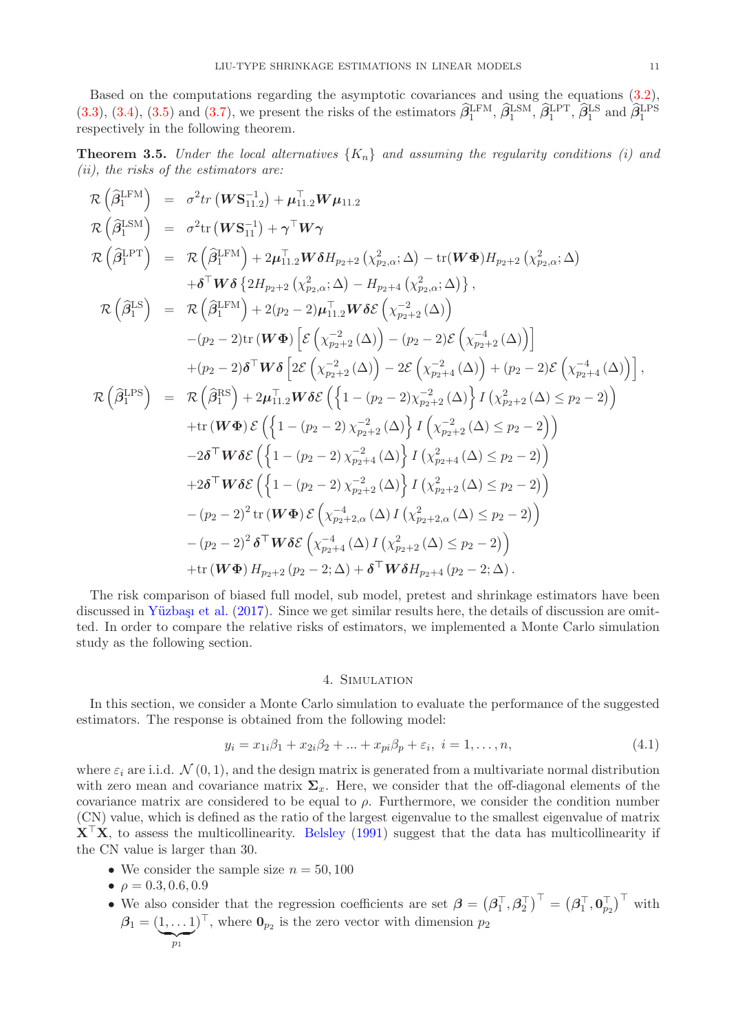Based on the computations regarding the asymptotic covariances and using the equations [\(3.2\)](#page-7-0), [\(3.3\)](#page-7-1), [\(3.4\)](#page-8-0), [\(3.5\)](#page-8-1) and [\(3.7\)](#page-9-0), we present the risks of the estimators  $\hat{\beta}_1^{\text{LFM}}, \hat{\beta}_1^{\text{LSM}}, \hat{\beta}_1^{\text{LPT}}, \hat{\beta}_1^{\text{LS}}$  and  $\hat{\beta}_1^{\text{LPS}}$ respectively in the following theorem.

**Theorem 3.5.** *Under the local alternatives*  $\{K_n\}$  *and assuming the regularity conditions (i) and (ii), the risks of the estimators are:*

$$
\mathcal{R}(\hat{\beta}_{1}^{\text{LFM}}) = \sigma^{2}tr(\mathbf{WS}_{11.2}^{-1}) + \mu_{11.2}^{\top} \mathbf{W} \mu_{11.2}
$$
\n
$$
\mathcal{R}(\hat{\beta}_{1}^{\text{LSM}}) = \sigma^{2}tr(\mathbf{WS}_{11}^{-1}) + \gamma^{\top} \mathbf{W} \gamma
$$
\n
$$
\mathcal{R}(\hat{\beta}_{1}^{\text{LFM}}) = \mathcal{R}(\hat{\beta}_{1}^{\text{LFM}}) + 2\mu_{11.2}^{\top} \mathbf{W} \delta H_{p_{2}+2}(\chi_{p_{2},\alpha}^{2};\Delta) - tr(\mathbf{W}\Phi)H_{p_{2}+2}(\chi_{p_{2},\alpha}^{2};\Delta)
$$
\n
$$
+ \delta^{\top} \mathbf{W} \delta \{2H_{p_{2}+2}(\chi_{p_{2},\alpha}^{2};\Delta) - H_{p_{2}+4}(\chi_{p_{2},\alpha}^{2};\Delta)\},
$$
\n
$$
\mathcal{R}(\hat{\beta}_{1}^{\text{L}}) = \mathcal{R}(\hat{\beta}_{1}^{\text{LFM}}) + 2(p_{2} - 2)\mu_{11.2}^{\top} \mathbf{W} \delta \mathcal{E}(\chi_{p_{2}+2}^{-2}(\Delta))
$$
\n
$$
-(p_{2} - 2)tr(\mathbf{W}\Phi) \left[ \mathcal{E}(\chi_{p_{2}+2}^{-2}(\Delta)) - (p_{2} - 2)\mathcal{E}(\chi_{p_{2}+2}^{-4}(\Delta)) \right]
$$
\n
$$
+ (p_{2} - 2)\delta^{\top} \mathbf{W} \delta \left[ 2\mathcal{E}(\chi_{p_{2}+2}^{-2}(\Delta)) - 2\mathcal{E}(\chi_{p_{2}+4}^{-2}(\Delta)) + (p_{2} - 2)\mathcal{E}(\chi_{p_{2}+4}^{-4}(\Delta)) \right],
$$
\n
$$
\mathcal{R}(\hat{\beta}_{1}^{\text{LPS}}) = \mathcal{R}(\hat{\beta}_{1}^{\text{RS}}) + 2\mu_{11.2}^{\top} \mathbf{W} \delta \mathcal{E}(\left\{1 - (p_{2} - 2)\chi_{p_{2}+2}^{-2
$$

The risk comparison of biased full model, sub model, pretest and shrinkage estimators have been discussed in Yüzbaşı et al. [\(2017](#page-17-4)). Since we get similar results here, the details of discussion are omitted. In order to compare the relative risks of estimators, we implemented a Monte Carlo simulation study as the following section.

#### 4. Simulation

In this section, we consider a Monte Carlo simulation to evaluate the performance of the suggested estimators. The response is obtained from the following model:

$$
y_i = x_{1i}\beta_1 + x_{2i}\beta_2 + \dots + x_{pi}\beta_p + \varepsilon_i, \ i = 1, \dots, n,
$$
\n(4.1)

where  $\varepsilon_i$  are i.i.d.  $\mathcal{N}(0, 1)$ , and the design matrix is generated from a multivariate normal distribution with zero mean and covariance matrix  $\Sigma_x$ . Here, we consider that the off-diagonal elements of the covariance matrix are considered to be equal to  $\rho$ . Furthermore, we consider the condition number (CN) value, which is defined as the ratio of the largest eigenvalue to the smallest eigenvalue of matrix  $X^{\top}X$ , to assess the multicollinearity. [Belsley](#page-17-15) [\(1991](#page-17-15)) suggest that the data has multicollinearity if the CN value is larger than 30.

- We consider the sample size  $n = 50, 100$
- $\rho = 0.3, 0.6, 0.9$
- We also consider that the regression coefficients are set  $\boldsymbol{\beta} = (\boldsymbol{\beta}_1^{\top}, \boldsymbol{\beta}_2^{\top})^{\top} = (\boldsymbol{\beta}_1^{\top}, \mathbf{0}_{p_2}^{\top})^{\top}$  with  $\beta_1=(1,\ldots 1)$  $\bigvee_{p_1}$  $\mathcal{O}_{p_1}$ , where  $\mathbf{0}_{p_2}$  is the zero vector with dimension  $p_2$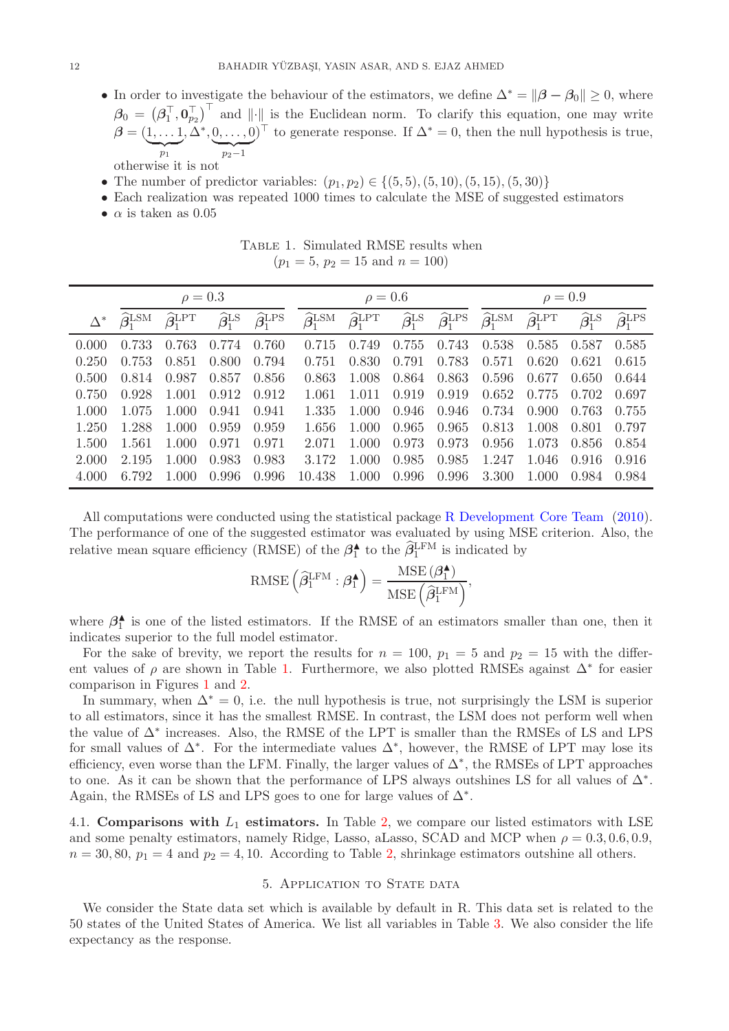• In order to investigate the behaviour of the estimators, we define  $\Delta^* = ||\beta - \beta_0|| \ge 0$ , where  $\beta_0 = (\beta_1^\top, 0_{p_2}^\top)^\top$  and  $\|\cdot\|$  is the Euclidean norm. To clarify this equation, one may write  $\boldsymbol{\beta}=(1,\dots 1$  $\bigvee_{p_1}$  $,\Delta^*,0,\ldots,0$  $\sum_{p_2-1}$ )<sup>⊤</sup> to generate response. If  $\Delta^* = 0$ , then the null hypothesis is true,

otherwise it is not

- The number of predictor variables:  $(p_1, p_2) \in \{(5, 5), (5, 10), (5, 15), (5, 30)\}\$
- Each realization was repeated 1000 times to calculate the MSE of suggested estimators
- <span id="page-11-0"></span>•  $\alpha$  is taken as 0.05

TABLE 1. Simulated RMSE results when  $(p_1 = 5, p_2 = 15 \text{ and } n = 100)$ 

|            | $\rho = 0.3$                     |                              |                                 |                              | $\rho = 0.6$                     |                                  |                                 |                              | $\rho = 0.9$                     |                                  |                                 |                                          |
|------------|----------------------------------|------------------------------|---------------------------------|------------------------------|----------------------------------|----------------------------------|---------------------------------|------------------------------|----------------------------------|----------------------------------|---------------------------------|------------------------------------------|
| $\Delta^*$ | $\widehat{\beta}_1^{\text{LSM}}$ | $\hat{\beta}_1^{\text{LPT}}$ | $\widehat{\beta}_1^{\text{LS}}$ | $\hat{\beta}_1^{\text{LPS}}$ | $\widehat{\beta}_1^{\text{LSM}}$ | $\widehat{\beta}_1^{\text{LPT}}$ | $\widehat{\beta}_1^{\text{LS}}$ | $\hat{\beta}_1^{\text{LPS}}$ | $\widehat{\beta}_1^{\text{LSM}}$ | $\widehat{\beta}_1^{\text{LPT}}$ | $\widehat{\beta}_1^{\text{LS}}$ | $\widehat{\beta}_1^{\operatorname{LPS}}$ |
| 0.000      | 0.733                            | 0.763                        | 0.774                           | 0.760                        | 0.715                            | 0.749                            | 0.755                           | 0.743                        | 0.538                            | 0.585                            | 0.587                           | 0.585                                    |
| 0.250      | 0.753                            | 0.851                        | 0.800                           | 0.794                        | 0.751                            | 0.830                            | 0.791                           | 0.783                        | 0.571                            | 0.620                            | 0.621                           | 0.615                                    |
| 0.500      | 0.814                            | 0.987                        | 0.857                           | 0.856                        | 0.863                            | 1.008                            | 0.864                           | 0.863                        | 0.596                            | 0.677                            | 0.650                           | 0.644                                    |
| 0.750      | 0.928                            | 1.001                        | 0.912                           | 0.912                        | 1.061                            | 1.011                            | 0.919                           | 0.919                        | 0.652                            | 0.775                            | 0.702                           | 0.697                                    |
| 1.000      | 1.075                            | 1.000                        | 0.941                           | 0.941                        | 1.335                            | 1.000                            | 0.946                           | 0.946                        | 0.734                            | 0.900                            | 0.763                           | 0.755                                    |
| 1.250      | 1.288                            | 1.000                        | 0.959                           | 0.959                        | 1.656                            | 1.000                            | 0.965                           | 0.965                        | 0.813                            | 1.008                            | 0.801                           | 0.797                                    |
| 1.500      | 1.561                            | 1.000                        | 0.971                           | 0.971                        | 2.071                            | 1.000                            | 0.973                           | 0.973                        | 0.956                            | 1.073                            | 0.856                           | 0.854                                    |
| 2.000      | 2.195                            | 1.000                        | 0.983                           | 0.983                        | 3.172                            | 1.000                            | 0.985                           | 0.985                        | 1.247                            | 1.046                            | 0.916                           | 0.916                                    |
| 4.000      | 6.792                            | 1.000                        | 0.996                           | 0.996                        | 10.438                           | 1.000                            | 0.996                           | 0.996                        | 3.300                            | 1.000                            | 0.984                           | 0.984                                    |

All computations were conducted using the statistical package [R Development Core Team](#page-17-16) [\(2010](#page-17-16)). The performance of one of the suggested estimator was evaluated by using MSE criterion. Also, the relative mean square efficiency (RMSE) of the  $\beta_1^{\blacktriangle}$  $\hat{\mathbf{\beta}}_1^{\text{LFM}}$  is indicated by

$$
\mathrm{RMSE}\left(\widehat{\beta}_1^{\mathrm{LFM}}:\beta_1^\blacktriangle\right)=\frac{\mathrm{MSE}\left(\beta_1^\blacktriangle\right)}{\mathrm{MSE}\left(\widehat{\beta}_1^{\mathrm{LFM}}\right)},
$$

where  $\beta_1^{\triangle}$  $\uparrow$  is one of the listed estimators. If the RMSE of an estimators smaller than one, then it indicates superior to the full model estimator.

For the sake of brevity, we report the results for  $n = 100$ ,  $p_1 = 5$  and  $p_2 = 15$  with the different values of  $\rho$  are shown in Table [1.](#page-11-0) Furthermore, we also plotted RMSEs against  $\Delta^*$  for easier comparison in Figures [1](#page-12-0) and [2.](#page-13-0)

In summary, when  $\Delta^* = 0$ , i.e. the null hypothesis is true, not surprisingly the LSM is superior to all estimators, since it has the smallest RMSE. In contrast, the LSM does not perform well when the value of ∆<sup>∗</sup> increases. Also, the RMSE of the LPT is smaller than the RMSEs of LS and LPS for small values of  $\Delta^*$ . For the intermediate values  $\Delta^*$ , however, the RMSE of LPT may lose its efficiency, even worse than the LFM. Finally, the larger values of ∆<sup>∗</sup> , the RMSEs of LPT approaches to one. As it can be shown that the performance of LPS always outshines LS for all values of  $\Delta^*$ . Again, the RMSEs of LS and LPS goes to one for large values of  $\Delta^*$ .

4.1. Comparisons with  $L_1$  estimators. In Table [2,](#page-14-0) we compare our listed estimators with LSE and some penalty estimators, namely Ridge, Lasso, aLasso, SCAD and MCP when  $\rho = 0.3, 0.6, 0.9$ ,  $n = 30, 80, p_1 = 4$  and  $p_2 = 4, 10$ . According to Table [2,](#page-14-0) shrinkage estimators outshine all others.

#### 5. Application to State data

We consider the State data set which is available by default in R. This data set is related to the 50 states of the United States of America. We list all variables in Table [3.](#page-12-1) We also consider the life expectancy as the response.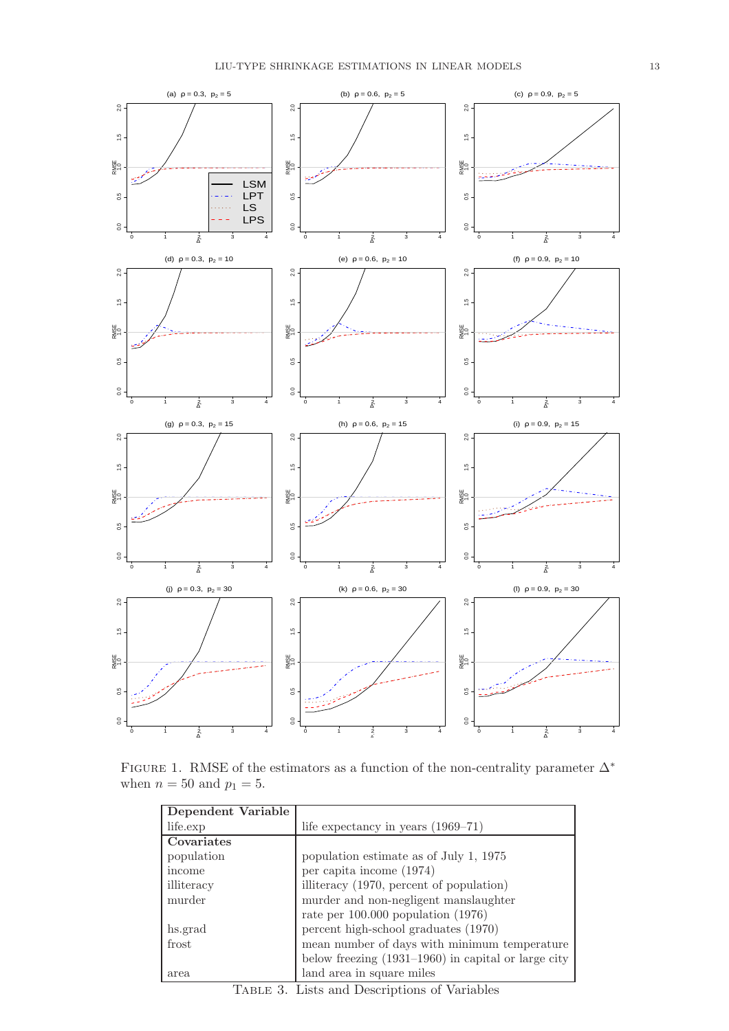<span id="page-12-0"></span>

<span id="page-12-1"></span>FIGURE 1. RMSE of the estimators as a function of the non-centrality parameter  $\Delta^*$ when  $n = 50$  and  $p_1 = 5$ .

| Dependent Variable |                                                       |
|--------------------|-------------------------------------------------------|
| life.exp           | life expectancy in years $(1969-71)$                  |
| Covariates         |                                                       |
| population         | population estimate as of July 1, 1975                |
| income             | per capita income (1974)                              |
| illiteracy         | illiteracy (1970, percent of population)              |
| murder             | murder and non-negligent manslaughter                 |
|                    | rate per $100.000$ population $(1976)$                |
| hs.grad            | percent high-school graduates (1970)                  |
| frost              | mean number of days with minimum temperature          |
|                    | below freezing $(1931-1960)$ in capital or large city |
| area               | land area in square miles                             |

# Table 3. Lists and Descriptions of Variables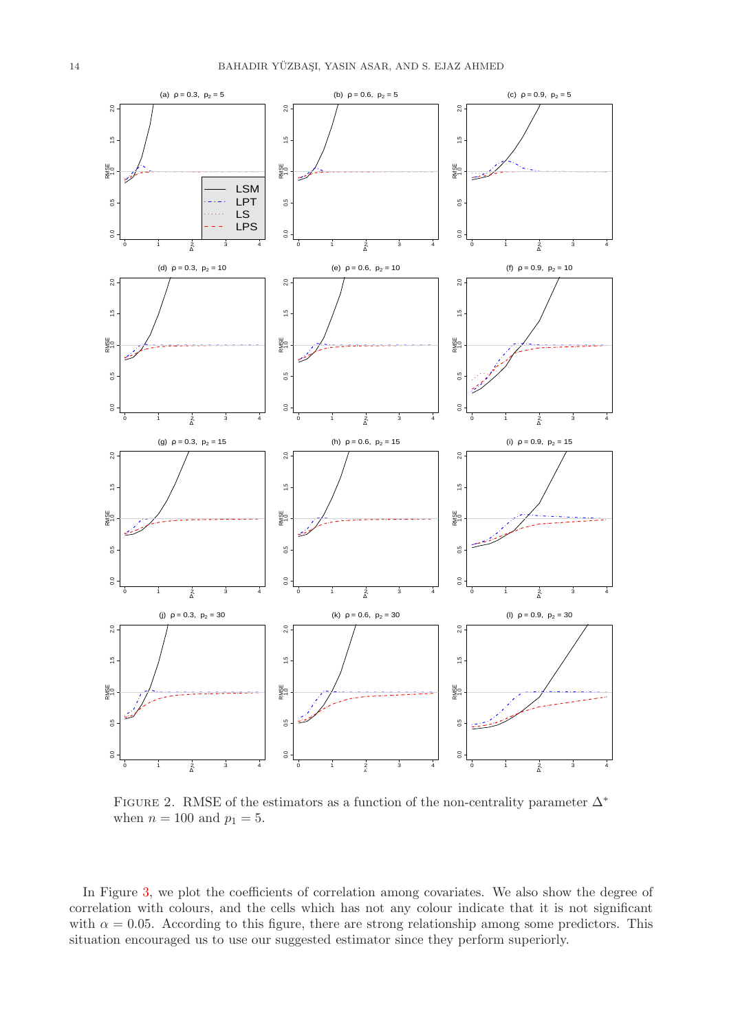<span id="page-13-0"></span>

FIGURE 2. RMSE of the estimators as a function of the non-centrality parameter  $\Delta^*$ when  $n = 100$  and  $p_1 = 5$ .

In Figure [3,](#page-14-1) we plot the coefficients of correlation among covariates. We also show the degree of correlation with colours, and the cells which has not any colour indicate that it is not significant with  $\alpha = 0.05$ . According to this figure, there are strong relationship among some predictors. This situation encouraged us to use our suggested estimator since they perform superiorly.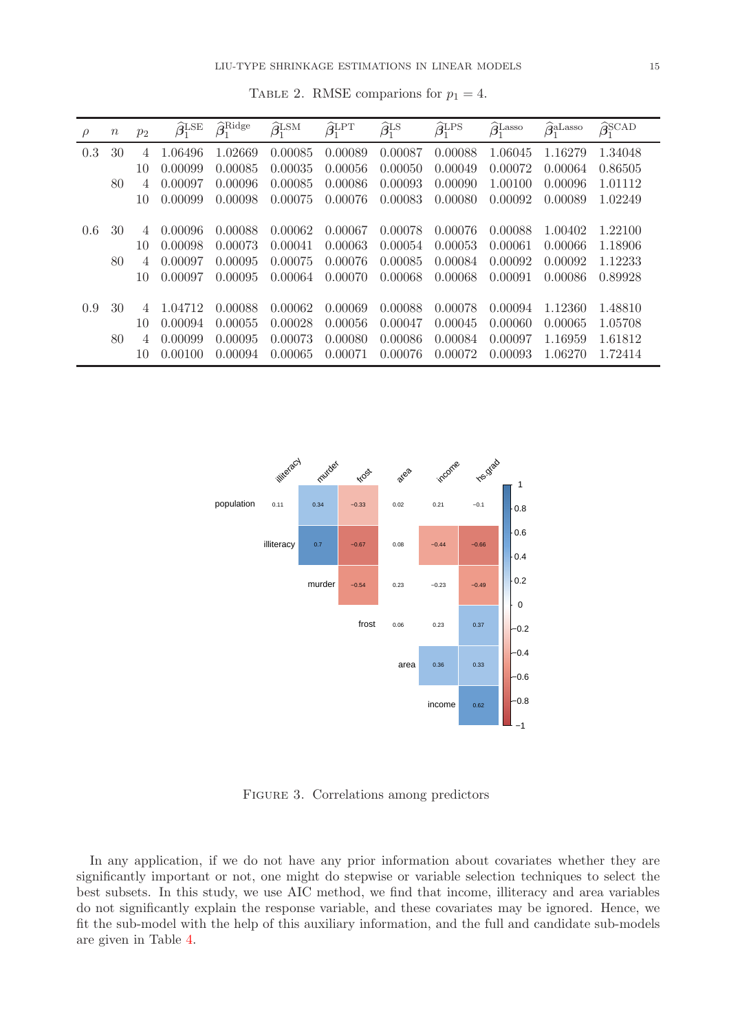<span id="page-14-0"></span>

| $\rho$ | $\boldsymbol{n}$ | $p_2$ | $\widehat{\boldsymbol{\beta}}_1^{\text{LSE}}$ | $\widehat{\beta}_1^{\mathrm{Ridge}}$ | $\widehat{\boldsymbol{\beta}}_1^{\text{LSM}}$ | $\widehat{\beta}_1^{\text{LPT}}$ | $\widehat{\beta}_1^{\text{LS}}$ | $\widehat{\beta}_1^{\operatorname{LPS}}$ | $\widehat{\beta}_1^{\text{Lasso}}$ | $\widehat{\beta}_1^{\mathrm{aLasso}}$ | $\widehat{\beta}_1^{\text{SCAD}}$ |
|--------|------------------|-------|-----------------------------------------------|--------------------------------------|-----------------------------------------------|----------------------------------|---------------------------------|------------------------------------------|------------------------------------|---------------------------------------|-----------------------------------|
| 0.3    | 30               | 4     | 1.06496                                       | 1.02669                              | 0.00085                                       | 0.00089                          | 0.00087                         | 0.00088                                  | 1.06045                            | 1.16279                               | 1.34048                           |
|        |                  | 10    | 0.00099                                       | 0.00085                              | 0.00035                                       | 0.00056                          | 0.00050                         | 0.00049                                  | 0.00072                            | 0.00064                               | 0.86505                           |
|        | 80               | 4     | 0.00097                                       | 0.00096                              | 0.00085                                       | 0.00086                          | 0.00093                         | 0.00090                                  | 1.00100                            | 0.00096                               | 1.01112                           |
|        |                  | 10    | 0.00099                                       | 0.00098                              | 0.00075                                       | 0.00076                          | 0.00083                         | 0.00080                                  | 0.00092                            | 0.00089                               | 1.02249                           |
|        |                  |       |                                               |                                      |                                               |                                  |                                 |                                          |                                    |                                       |                                   |
| 0.6    | 30               | 4     | 0.00096                                       | 0.00088                              | 0.00062                                       | 0.00067                          | 0.00078                         | 0.00076                                  | 0.00088                            | 1.00402                               | 1.22100                           |
|        |                  | 10    | 0.00098                                       | 0.00073                              | 0.00041                                       | 0.00063                          | 0.00054                         | 0.00053                                  | 0.00061                            | 0.00066                               | 1.18906                           |
|        | 80               | 4     | 0.00097                                       | 0.00095                              | 0.00075                                       | 0.00076                          | 0.00085                         | 0.00084                                  | 0.00092                            | 0.00092                               | 1.12233                           |
|        |                  | 10    | 0.00097                                       | 0.00095                              | 0.00064                                       | 0.00070                          | 0.00068                         | 0.00068                                  | 0.00091                            | 0.00086                               | 0.89928                           |
|        |                  |       |                                               |                                      |                                               |                                  |                                 |                                          |                                    |                                       |                                   |
| 0.9    | 30               | 4     | 1.04712                                       | 0.00088                              | 0.00062                                       | 0.00069                          | 0.00088                         | 0.00078                                  | 0.00094                            | 1.12360                               | 1.48810                           |
|        |                  | 10    | 0.00094                                       | 0.00055                              | 0.00028                                       | 0.00056                          | 0.00047                         | 0.00045                                  | 0.00060                            | 0.00065                               | 1.05708                           |
|        | 80               | 4     | 0.00099                                       | 0.00095                              | 0.00073                                       | 0.00080                          | 0.00086                         | 0.00084                                  | 0.00097                            | 1.16959                               | 1.61812                           |
|        |                  | 10    | 0.00100                                       | 0.00094                              | 0.00065                                       | 0.00071                          | 0.00076                         | 0.00072                                  | 0.00093                            | 1.06270                               | 1.72414                           |

TABLE 2. RMSE comparions for  $p_1 = 4$ .

<span id="page-14-1"></span>

Figure 3. Correlations among predictors

In any application, if we do not have any prior information about covariates whether they are significantly important or not, one might do stepwise or variable selection techniques to select the best subsets. In this study, we use AIC method, we find that income, illiteracy and area variables do not significantly explain the response variable, and these covariates may be ignored. Hence, we fit the sub-model with the help of this auxiliary information, and the full and candidate sub-models are given in Table [4.](#page-15-0)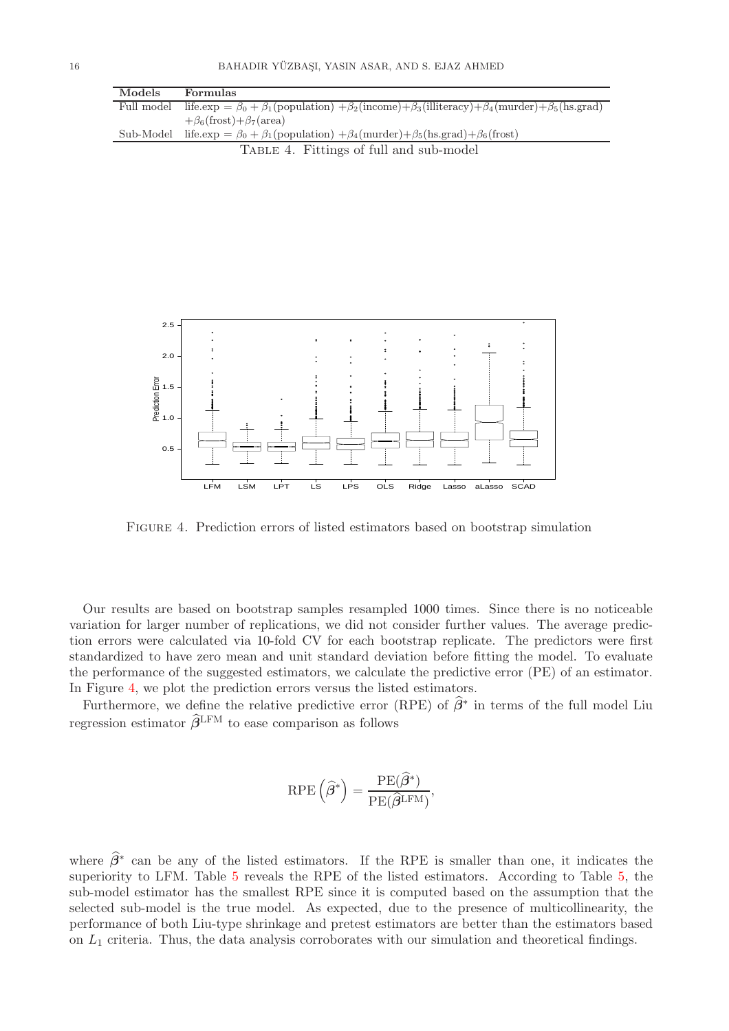<span id="page-15-0"></span>

| Models     | <b>Formulas</b>                                                                                                                      |
|------------|--------------------------------------------------------------------------------------------------------------------------------------|
| Full model | life.exp = $\beta_0 + \beta_1$ (population) + $\beta_2$ (income) + $\beta_3$ (illiteracy) + $\beta_4$ (murder) + $\beta_5$ (hs.grad) |
|            | $+\beta_6$ (frost) $+\beta_7$ (area)                                                                                                 |
| Sub-Model  | life.exp = $\beta_0 + \beta_1$ (population) + $\beta_4$ (murder)+ $\beta_5$ (hs.grad)+ $\beta_6$ (frost)                             |
|            | TABLE 4. Fittings of full and sub-model                                                                                              |

<span id="page-15-1"></span>

Figure 4. Prediction errors of listed estimators based on bootstrap simulation

Our results are based on bootstrap samples resampled 1000 times. Since there is no noticeable variation for larger number of replications, we did not consider further values. The average prediction errors were calculated via 10-fold CV for each bootstrap replicate. The predictors were first standardized to have zero mean and unit standard deviation before fitting the model. To evaluate the performance of the suggested estimators, we calculate the predictive error (PE) of an estimator. In Figure [4,](#page-15-1) we plot the prediction errors versus the listed estimators.

Furthermore, we define the relative predictive error (RPE) of  $\hat{\beta}^*$  in terms of the full model Liu regression estimator  $\hat{\beta}^{\text{LFM}}$  to ease comparison as follows

$$
RPE\left(\widehat{\beta}^*\right) = \frac{PE(\widehat{\beta}^*)}{PE(\widehat{\beta}^{LFM})},
$$

where  $\widehat{\beta}^*$  can be any of the listed estimators. If the RPE is smaller than one, it indicates the superiority to LFM. Table [5](#page-16-1) reveals the RPE of the listed estimators. According to Table [5,](#page-16-1) the sub-model estimator has the smallest RPE since it is computed based on the assumption that the selected sub-model is the true model. As expected, due to the presence of multicollinearity, the performance of both Liu-type shrinkage and pretest estimators are better than the estimators based on  $L_1$  criteria. Thus, the data analysis corroborates with our simulation and theoretical findings.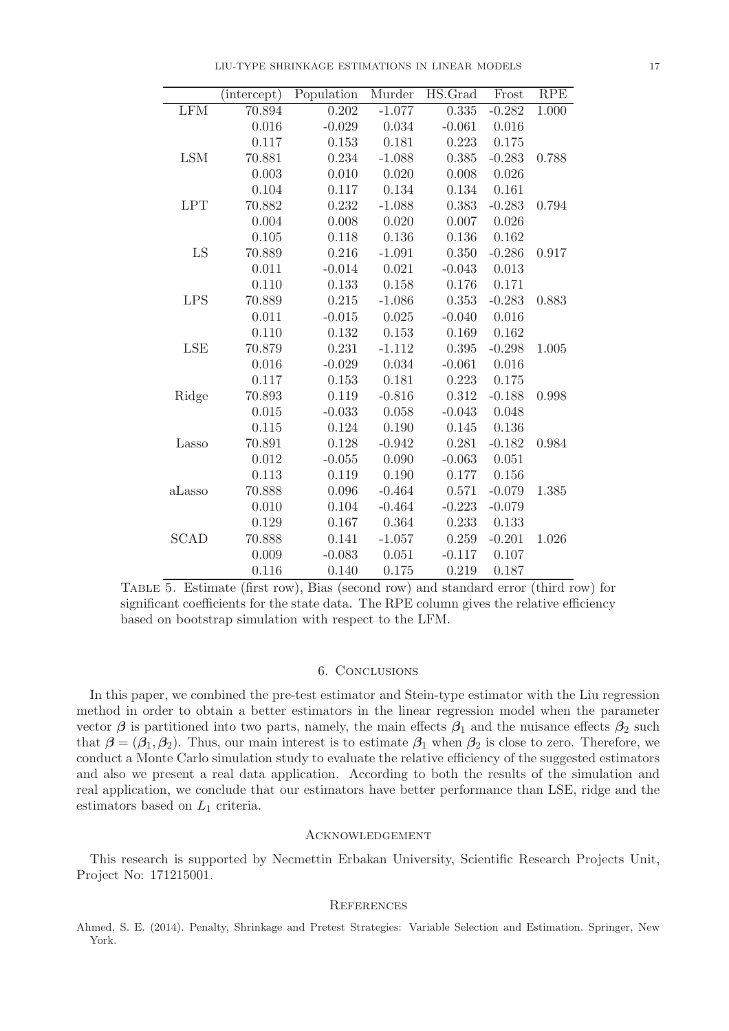<span id="page-16-1"></span>

|             | $(int \text{except})$ | Population | Murder   | HS.Grad  | Frost    | RPE   |
|-------------|-----------------------|------------|----------|----------|----------|-------|
| <b>LFM</b>  | 70.894                | 0.202      | $-1.077$ | 0.335    | $-0.282$ | 1.000 |
|             | 0.016                 | $-0.029$   | 0.034    | $-0.061$ | 0.016    |       |
|             | 0.117                 | 0.153      | 0.181    | 0.223    | 0.175    |       |
| <b>LSM</b>  | 70.881                | 0.234      | $-1.088$ | 0.385    | $-0.283$ | 0.788 |
|             | 0.003                 | 0.010      | 0.020    | 0.008    | 0.026    |       |
|             | 0.104                 | 0.117      | 0.134    | 0.134    | 0.161    |       |
| <b>LPT</b>  | 70.882                | 0.232      | $-1.088$ | 0.383    | $-0.283$ | 0.794 |
|             | 0.004                 | 0.008      | 0.020    | 0.007    | 0.026    |       |
|             | 0.105                 | 0.118      | 0.136    | 0.136    | 0.162    |       |
| LS          | 70.889                | 0.216      | $-1.091$ | 0.350    | $-0.286$ | 0.917 |
|             | 0.011                 | $-0.014$   | 0.021    | $-0.043$ | 0.013    |       |
|             | 0.110                 | 0.133      | 0.158    | 0.176    | 0.171    |       |
| <b>LPS</b>  | 70.889                | 0.215      | $-1.086$ | 0.353    | $-0.283$ | 0.883 |
|             | 0.011                 | $-0.015$   | 0.025    | $-0.040$ | 0.016    |       |
|             | 0.110                 | 0.132      | 0.153    | 0.169    | 0.162    |       |
| <b>LSE</b>  | 70.879                | 0.231      | $-1.112$ | 0.395    | $-0.298$ | 1.005 |
|             | 0.016                 | $-0.029$   | 0.034    | $-0.061$ | 0.016    |       |
|             | 0.117                 | 0.153      | 0.181    | 0.223    | 0.175    |       |
| Ridge       | 70.893                | 0.119      | $-0.816$ | 0.312    | $-0.188$ | 0.998 |
|             | 0.015                 | $-0.033$   | 0.058    | $-0.043$ | 0.048    |       |
|             | 0.115                 | 0.124      | 0.190    | 0.145    | 0.136    |       |
| Lasso       | 70.891                | 0.128      | $-0.942$ | 0.281    | $-0.182$ | 0.984 |
|             | 0.012                 | $-0.055$   | 0.090    | $-0.063$ | 0.051    |       |
|             | 0.113                 | 0.119      | 0.190    | 0.177    | 0.156    |       |
| aLasso      | 70.888                | 0.096      | $-0.464$ | 0.571    | $-0.079$ | 1.385 |
|             | 0.010                 | 0.104      | $-0.464$ | $-0.223$ | $-0.079$ |       |
|             | 0.129                 | 0.167      | 0.364    | 0.233    | 0.133    |       |
| <b>SCAD</b> | 70.888                | 0.141      | $-1.057$ | 0.259    | $-0.201$ | 1.026 |
|             | 0.009                 | $-0.083$   | 0.051    | $-0.117$ | 0.107    |       |
|             | 0.116                 | 0.140      | 0.175    | 0.219    | 0.187    |       |

Table 5. Estimate (first row), Bias (second row) and standard error (third row) for significant coefficients for the state data. The RPE column gives the relative efficiency based on bootstrap simulation with respect to the LFM.

## 6. Conclusions

In this paper, we combined the pre-test estimator and Stein-type estimator with the Liu regression method in order to obtain a better estimators in the linear regression model when the parameter vector  $\beta$  is partitioned into two parts, namely, the main effects  $\beta_1$  and the nuisance effects  $\beta_2$  such that  $\beta = (\beta_1, \beta_2)$ . Thus, our main interest is to estimate  $\beta_1$  when  $\beta_2$  is close to zero. Therefore, we conduct a Monte Carlo simulation study to evaluate the relative efficiency of the suggested estimators and also we present a real data application. According to both the results of the simulation and real application, we conclude that our estimators have better performance than LSE, ridge and the estimators based on  $L_1$  criteria.

# Acknowledgement

This research is supported by Necmettin Erbakan University, Scientific Research Projects Unit, Project No: 171215001.

#### **REFERENCES**

<span id="page-16-0"></span>Ahmed, S. E. (2014). Penalty, Shrinkage and Pretest Strategies: Variable Selection and Estimation. Springer, New York.